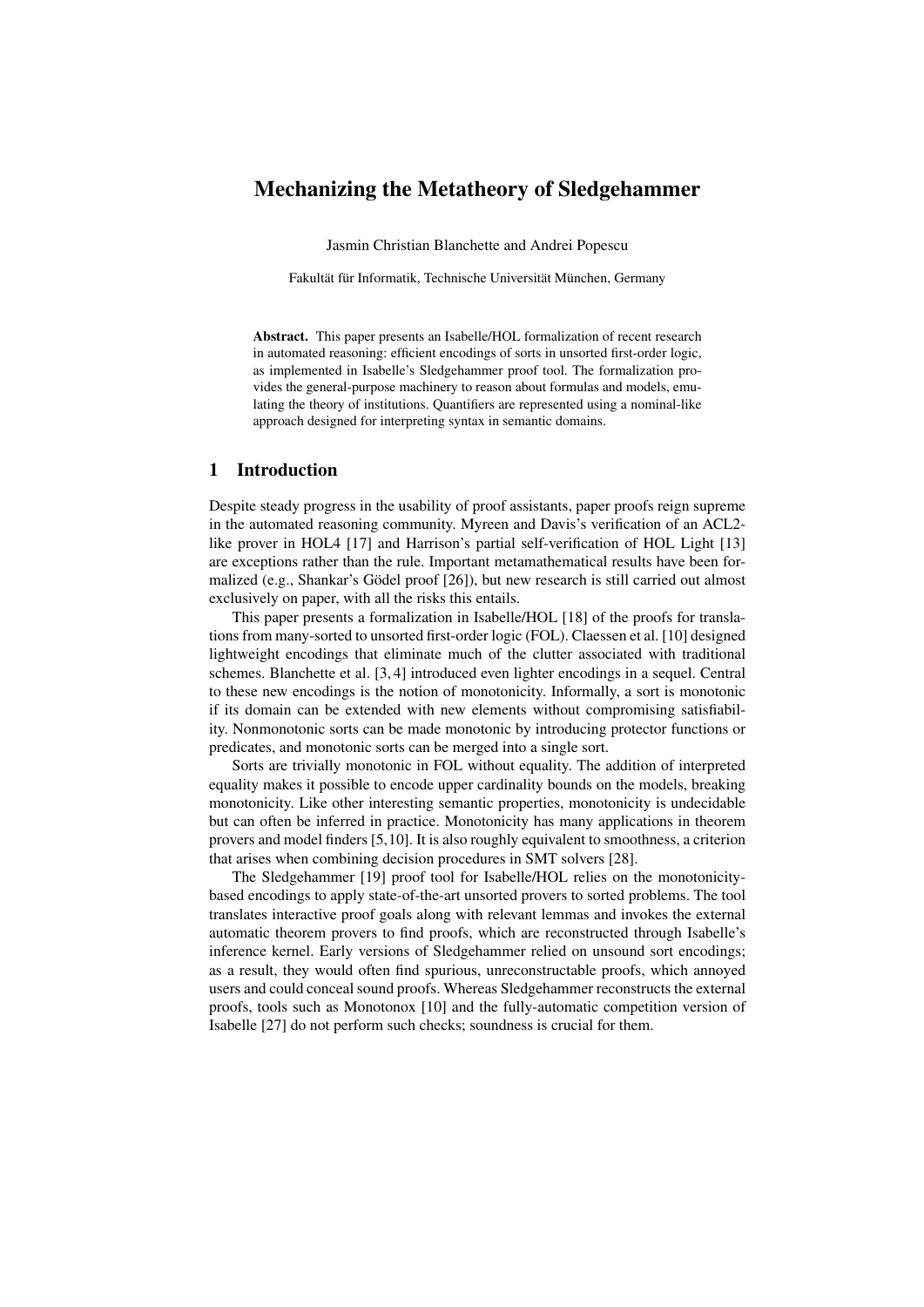# Mechanizing the Metatheory of Sledgehammer

Jasmin Christian Blanchette and Andrei Popescu

Fakultät für Informatik, Technische Universität München, Germany

Abstract. This paper presents an Isabelle/HOL formalization of recent research in automated reasoning: efficient encodings of sorts in unsorted first-order logic, as implemented in Isabelle's Sledgehammer proof tool. The formalization provides the general-purpose machinery to reason about formulas and models, emulating the theory of institutions. Quantifiers are represented using a nominal-like approach designed for interpreting syntax in semantic domains.

## 1 Introduction

Despite steady progress in the usability of proof assistants, paper proofs reign supreme in the automated reasoning community. Myreen and Davis's verification of an ACL2 like prover in HOL4 [\[17\]](#page-15-0) and Harrison's partial self-verification of HOL Light [\[13\]](#page-15-1) are exceptions rather than the rule. Important metamathematical results have been formalized (e.g., Shankar's Gödel proof [\[26\]](#page-15-2)), but new research is still carried out almost exclusively on paper, with all the risks this entails.

This paper presents a formalization in Isabelle/HOL [\[18\]](#page-15-3) of the proofs for translations from many-sorted to unsorted first-order logic (FOL). Claessen et al. [\[10\]](#page-15-4) designed lightweight encodings that eliminate much of the clutter associated with traditional schemes. Blanchette et al. [\[3,](#page-14-0) [4\]](#page-14-1) introduced even lighter encodings in a sequel. Central to these new encodings is the notion of monotonicity. Informally, a sort is monotonic if its domain can be extended with new elements without compromising satisfiability. Nonmonotonic sorts can be made monotonic by introducing protector functions or predicates, and monotonic sorts can be merged into a single sort.

Sorts are trivially monotonic in FOL without equality. The addition of interpreted equality makes it possible to encode upper cardinality bounds on the models, breaking monotonicity. Like other interesting semantic properties, monotonicity is undecidable but can often be inferred in practice. Monotonicity has many applications in theorem provers and model finders [\[5](#page-14-2)[,10\]](#page-15-4). It is also roughly equivalent to smoothness, a criterion that arises when combining decision procedures in SMT solvers [\[28\]](#page-15-5).

The Sledgehammer [\[19\]](#page-15-6) proof tool for Isabelle/HOL relies on the monotonicitybased encodings to apply state-of-the-art unsorted provers to sorted problems. The tool translates interactive proof goals along with relevant lemmas and invokes the external automatic theorem provers to find proofs, which are reconstructed through Isabelle's inference kernel. Early versions of Sledgehammer relied on unsound sort encodings; as a result, they would often find spurious, unreconstructable proofs, which annoyed users and could conceal sound proofs. Whereas Sledgehammer reconstructs the external proofs, tools such as Monotonox [\[10\]](#page-15-4) and the fully-automatic competition version of Isabelle [\[27\]](#page-15-7) do not perform such checks; soundness is crucial for them.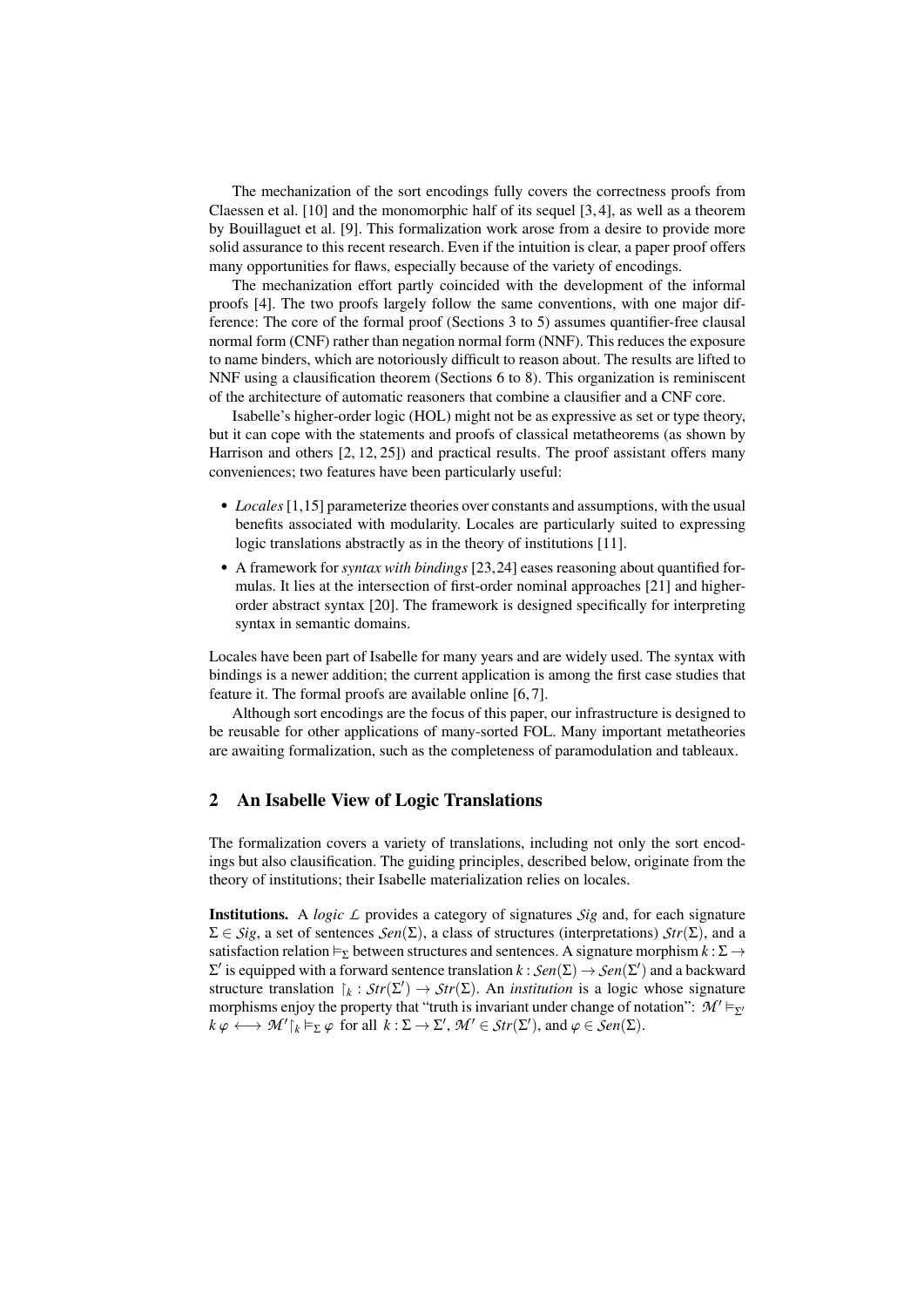The mechanization of the sort encodings fully covers the correctness proofs from Claessen et al. [\[10\]](#page-15-4) and the monomorphic half of its sequel [\[3,](#page-14-0) [4\]](#page-14-1), as well as a theorem by Bouillaguet et al. [\[9\]](#page-15-8). This formalization work arose from a desire to provide more solid assurance to this recent research. Even if the intuition is clear, a paper proof offers many opportunities for flaws, especially because of the variety of encodings.

The mechanization effort partly coincided with the development of the informal proofs [\[4\]](#page-14-1). The two proofs largely follow the same conventions, with one major difference: The core of the formal proof (Sections [3](#page-3-0) to [5\)](#page-6-0) assumes quantifier-free clausal normal form (CNF) rather than negation normal form (NNF). This reduces the exposure to name binders, which are notoriously difficult to reason about. The results are lifted to NNF using a clausification theorem (Sections [6](#page-9-0) to [8\)](#page-13-0). This organization is reminiscent of the architecture of automatic reasoners that combine a clausifier and a CNF core.

Isabelle's higher-order logic (HOL) might not be as expressive as set or type theory, but it can cope with the statements and proofs of classical metatheorems (as shown by Harrison and others [\[2,](#page-14-3) [12,](#page-15-9) [25\]](#page-15-10)) and practical results. The proof assistant offers many conveniences; two features have been particularly useful:

- *Locales*[\[1,](#page-14-4)[15\]](#page-15-11) parameterize theories over constants and assumptions, with the usual benefits associated with modularity. Locales are particularly suited to expressing logic translations abstractly as in the theory of institutions [\[11\]](#page-15-12).
- A framework for *syntax with bindings* [\[23,](#page-15-13)[24\]](#page-15-14) eases reasoning about quantified formulas. It lies at the intersection of first-order nominal approaches [\[21\]](#page-15-15) and higherorder abstract syntax [\[20\]](#page-15-16). The framework is designed specifically for interpreting syntax in semantic domains.

Locales have been part of Isabelle for many years and are widely used. The syntax with bindings is a newer addition; the current application is among the first case studies that feature it. The formal proofs are available online [\[6,](#page-15-17) [7\]](#page-15-18).

Although sort encodings are the focus of this paper, our infrastructure is designed to be reusable for other applications of many-sorted FOL. Many important metatheories are awaiting formalization, such as the completeness of paramodulation and tableaux.

# <span id="page-1-0"></span>2 An Isabelle View of Logic Translations

The formalization covers a variety of translations, including not only the sort encodings but also clausification. The guiding principles, described below, originate from the theory of institutions; their Isabelle materialization relies on locales.

**Institutions.** A *logic*  $\angle$  provides a category of signatures *Sig* and, for each signature  $\Sigma \in \mathcal{S}$ *ig*, a set of sentences  $\mathcal{S}en(\Sigma)$ , a class of structures (interpretations)  $\mathcal{S}tr(\Sigma)$ , and a satisfaction relation  $\models_{\Sigma}$  between structures and sentences. A signature morphism  $k : \Sigma \rightarrow$  $\Sigma'$  is equipped with a forward sentence translation  $k$  :  $\mathcal{S}en(\Sigma) \rightarrow \mathcal{S}en(\Sigma')$  and a backward structure translation  $\int_k : Str(\Sigma') \to Str(\Sigma)$ . An *institution* is a logic whose signature morphisms enjoy the property that "truth is invariant under change of notation":  $\mathcal{M}' \vDash_{\Sigma'}$  $k \varphi \longleftrightarrow M' \rvert_k \vDash_{\Sigma} \varphi \text{ for all } k : \Sigma \to \Sigma', \mathcal{M}' \in Str(\Sigma'), \text{ and } \varphi \in \mathcal{S}en(\Sigma).$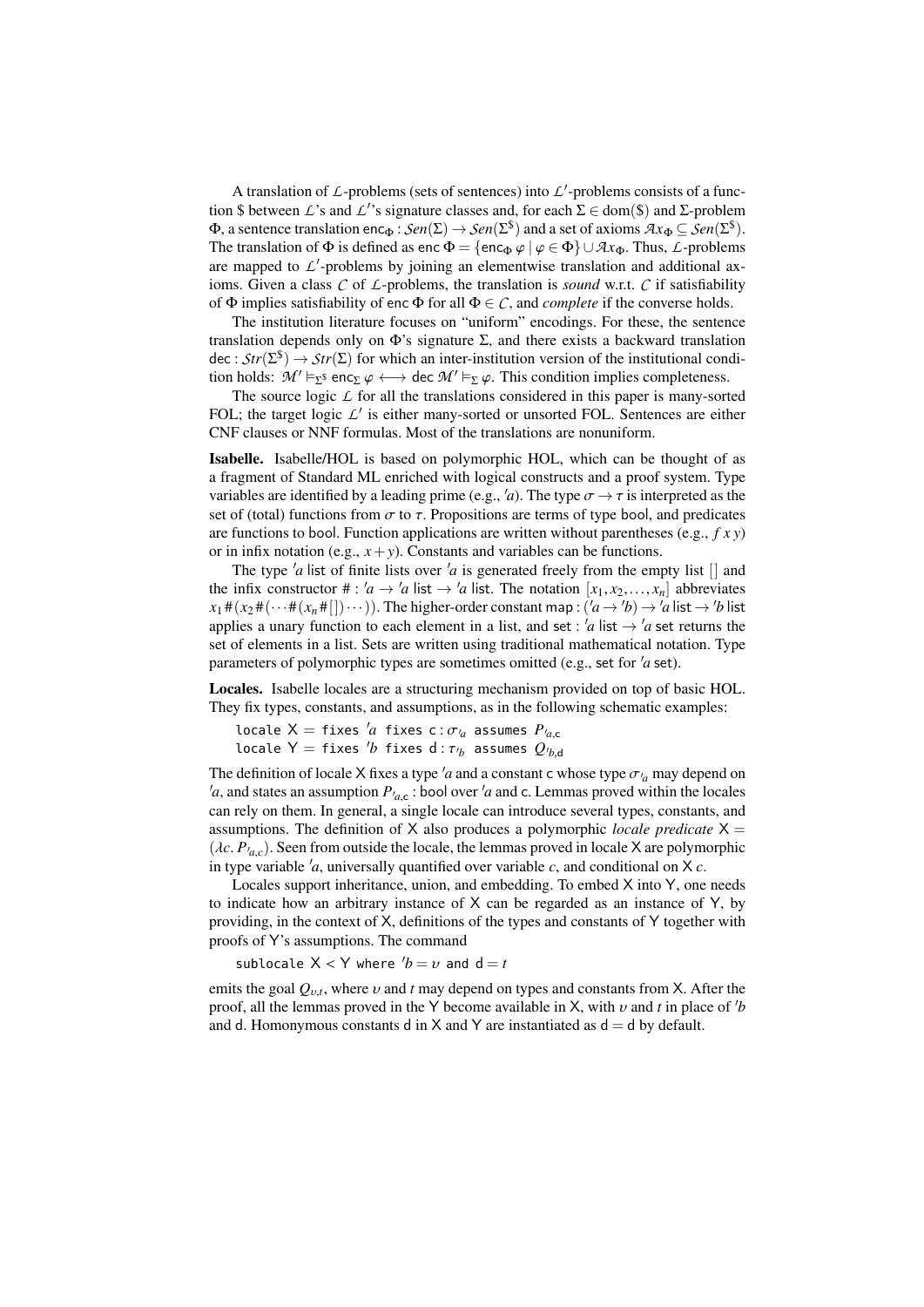A translation of  $\mathcal{L}$ -problems (sets of sentences) into  $\mathcal{L}'$ -problems consists of a function \$ between *L*'s and *L*''s signature classes and, for each  $\Sigma \in \text{dom}(\S)$  and  $\Sigma$ -problem  $\Phi$ , a sentence translation enc $_{\Phi}$  :  $\mathcal{S}en(\Sigma) \to \mathcal{S}en(\Sigma^{\$})$  and a set of axioms  $\mathcal{A}x_{\Phi} \subseteq \mathcal{S}en(\Sigma^{\$})$ . The translation of  $\Phi$  is defined as enc  $\Phi = \{\text{enc}_{\Phi} \varphi \mid \varphi \in \Phi\} \cup \mathcal{A}_{\mathcal{X}_{\Phi}}$ . Thus, *L*-problems are mapped to  $\mathcal{L}'$ -problems by joining an elementwise translation and additional axioms. Given a class *C* of *L*-problems, the translation is *sound* w.r.t. *C* if satisfiability of  $\Phi$  implies satisfiability of enc  $\Phi$  for all  $\Phi \in \mathcal{C}$ , and *complete* if the converse holds.

The institution literature focuses on "uniform" encodings. For these, the sentence translation depends only on  $\Phi$ 's signature  $\Sigma$ , and there exists a backward translation  $\det : Str(\Sigma^{\$}) \to Str(\Sigma)$  for which an inter-institution version of the institutional condition holds:  $\mathcal{M}' \models_{\Sigma} \mathbf{s} \text{ enc}_{\Sigma} \varphi \longleftrightarrow \text{dec } \mathcal{M}' \models_{\Sigma} \varphi$ . This condition implies completeness.<br>The source logic 6 for all the translations considered in this paper is many-sort

The source logic  $\mathcal L$  for all the translations considered in this paper is many-sorted FOL; the target logic  $L'$  is either many-sorted or unsorted FOL. Sentences are either CNF clauses or NNF formulas. Most of the translations are nonuniform.

Isabelle. Isabelle/HOL is based on polymorphic HOL, which can be thought of as a fragment of Standard ML enriched with logical constructs and a proof system. Type variables are identified by a leading prime (e.g., 'a). The type  $\sigma \rightarrow \tau$  is interpreted as the set of (total) functions from  $\sigma$  to  $\tau$ . Propositions are terms of type bool, and predicates are functions to bool. Function applications are written without parentheses (e.g., *f x y*) or in infix notation (e.g.,  $x + y$ ). Constants and variables can be functions.

The type '*a* list of finite lists over '*a* is generated freely from the empty list  $\lceil \rceil$  and the infix constructor  $\#$ :  $'a \rightarrow 'a$  list  $\rightarrow 'a$  list. The notation  $[x_1, x_2, \ldots, x_n]$  abbreviates  $x_1 \# (x_2 \# (\dots \# (x_n \# [\dots]))$ . The higher-order constant map :  $(a \to 'b) \to 'a$  list  $\to 'b$  list applies a unary function to each element in a list, and set :  $'a$  list  $\rightarrow 'a$  set returns the set of elements in a list. Sets are written using traditional mathematical notation. Type parameters of polymorphic types are sometimes omitted (e.g., set for  $'a$  set).

Locales. Isabelle locales are a structuring mechanism provided on top of basic HOL. They fix types, constants, and assumptions, as in the following schematic examples:

locale  $X =$  fixes  $'a$  fixes c:  $\sigma_{a}$  assumes  $P_{a,c}$ locale Y = fixes  $'b$  fixes d:  $\tau_{b}$  assumes  $Q_{b,d}$ 

The definition of locale X fixes a type 'a and a constant c whose type  $\sigma_{a}$  may depend on  $a$ , and states an assumption  $P_{a,c}$ : bool over  $a$  and c. Lemmas proved within the locales can rely on them. In general, a single locale can introduce several types, constants, and assumptions. The definition of X also produces a polymorphic *locale predicate* X =  $(\lambda c. P_{a,c})$ . Seen from outside the locale, the lemmas proved in locale X are polymorphic<br>in type variable  $/a$ , universally quantified over variable c, and conditional on X c. in type variable  $\alpha$ , universally quantified over variable  $c$ , and conditional on  $X$   $c$ .

Locales support inheritance, union, and embedding. To embed X into Y, one needs to indicate how an arbitrary instance of  $X$  can be regarded as an instance of  $Y$ , by providing, in the context of X, definitions of the types and constants of Y together with proofs of Y's assumptions. The command

sublocale  $X < Y$  where  $'b = v$  and  $d = t$ 

emits the goal  $Q_{\nu,t}$ , where  $\nu$  and  $t$  may depend on types and constants from X. After the proof all the lemmas proved in the Y become available in X, with  $\nu$  and  $t$  in place of *lb* proof, all the lemmas proved in the Y become available in X, with  $\nu$  and  $t$  in place of  $'b$ and d. Homonymous constants d in  $X$  and  $Y$  are instantiated as  $d = d$  by default.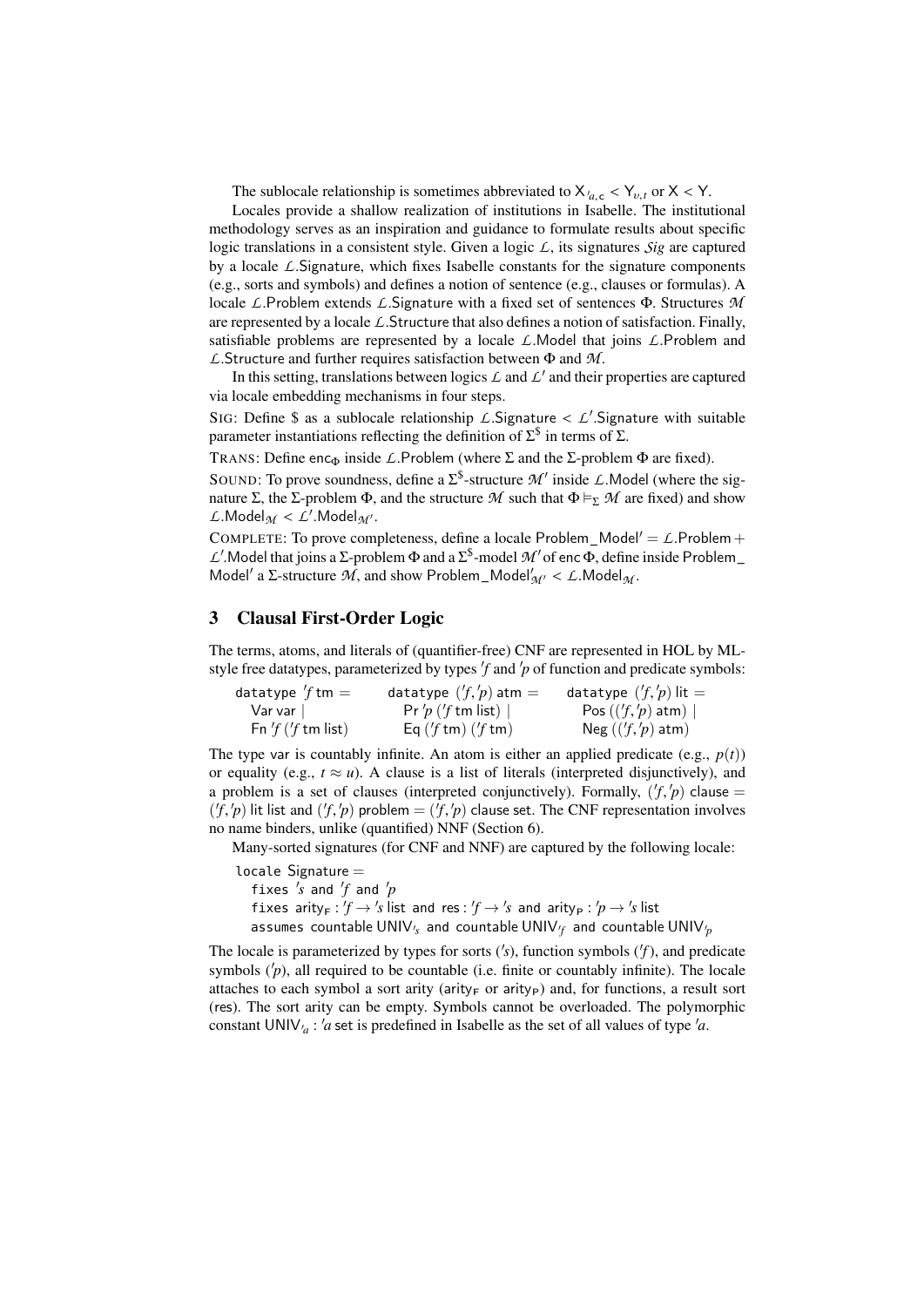The sublocale relationship is sometimes abbreviated to  $X_{a,c} < Y_{v,t}$  or  $X < Y$ .

Locales provide a shallow realization of institutions in Isabelle. The institutional methodology serves as an inspiration and guidance to formulate results about specific logic translations in a consistent style. Given a logic  $\mathcal{L}$ , its signatures  $\mathcal{S}$ *ig* are captured by a locale *<sup>L</sup>*.Signature, which fixes Isabelle constants for the signature components (e.g., sorts and symbols) and defines a notion of sentence (e.g., clauses or formulas). A locale *<sup>L</sup>*.Problem extends *<sup>L</sup>*.Signature with a fixed set of sentences <sup>Φ</sup>. Structures *<sup>M</sup>* are represented by a locale *<sup>L</sup>*.Structure that also defines a notion of satisfaction. Finally, satisfiable problems are represented by a locale *<sup>L</sup>*.Model that joins *<sup>L</sup>*.Problem and *<sup>L</sup>*.Structure and further requires satisfaction between <sup>Φ</sup> and *<sup>M</sup>*.

In this setting, translations between logics  $\mathcal L$  and  $\mathcal L'$  and their properties are captured via locale embedding mechanisms in four steps.

SIG: Define \$ as a sublocale relationship *L*.Signature < *L'*.Signature with suitable parameter instantiations reflecting the definition of  $\Sigma^{\$}$  in terms of  $\Sigma$ parameter instantiations reflecting the definition of  $\Sigma^{\$}$  in terms of  $\Sigma$ .

TRANS: Define enc<sub>Φ</sub> inside *L*.Problem (where  $\Sigma$  and the  $\Sigma$ -problem  $\Phi$  are fixed).

SOUND: To prove soundness, define a  $\Sigma^{\$}$ -structure  $\mathcal{M}'$  inside *L*.Model (where the sig-<br>nature  $\Sigma$ , the  $\Sigma$ -problem  $\Phi$ , and the structure  $\mathcal{M}$  such that  $\Phi \models_{\mathcal{M}} \mathcal{M}$  are fixed) and show nature Σ, the Σ-problem Φ, and the structure *M* such that  $\Phi \vDash_{\Sigma} M$  are fixed) and show  $L$ .Model<sub>*M*</sub> <  $L'$ .Model<sub>*M'*</sub>.

COMPLETE: To prove completeness, define a locale Problem\_Model' =  $\mathcal{L}$ .Problem + *L*'.Model that joins a Σ-problem Φ and a Σ<sup>\$</sup>-model *M'* of enc Φ, define inside Problem \_<br>Model' a Σ-structure *M* and show Problem\_Model',  $u \le C$  Model  $\varepsilon$ Model' a  $\Sigma$ -structure  $M$ , and show Problem\_Model'<sub> $M'$ </sub> <  $\mathcal L$ .Model<sub>M</sub>.

## <span id="page-3-0"></span>3 Clausal First-Order Logic

The terms, atoms, and literals of (quantifier-free) CNF are represented in HOL by MLstyle free datatypes, parameterized by types  $f$  and  $p$  of function and predicate symbols:

| datatype $'f$ tm $=$    | datatype $(f, p)$ atm =            | datatype $(f, p)$ lit $=$      |
|-------------------------|------------------------------------|--------------------------------|
| Var var                 | $Pr / p$ ( <i>f</i> tm list)       | Pos((f, 'p) atm)               |
| Fn $'f$ ( $'f$ tm list) | Eq $(f \text{tm})$ $(f \text{tm})$ | $Neg ((\nmid f, \nmid p)$ atm) |
|                         |                                    |                                |

The type var is countably infinite. An atom is either an applied predicate  $(e.g., p(t))$ or equality (e.g.,  $t \approx u$ ). A clause is a list of literals (interpreted disjunctively), and a problem is a set of clauses (interpreted conjunctively). Formally,  $(f, 'p)$  clause  $=(f, 'p)$  it list and  $(f, 'p)$  problem  $-(f, 'p)$  clause set. The CNE representation involves  $(f, 'p)$  lit list and  $(f', 'p)$  problem =  $(f', 'p)$  clause set. The CNF representation involves no name binders, unlike (quantified) NNF (Section [6\)](#page-9-0).

Many-sorted signatures (for CNF and NNF) are captured by the following locale:

locale  $Signature =$ fixes  $'s$  and  $'f$  and  $'p$ fixes arity<sub>F</sub>:  $'f \rightarrow 's$  list and res:  $'f \rightarrow 's$  and arity<sub>P</sub>:  $'p \rightarrow 's$  list assumes countable UNIV $\prime_s$  and countable UNIV $\prime_f$  and countable UNIV $\prime_p$ 

The locale is parameterized by types for sorts  $('s)$ , function symbols  $('f)$ , and predicate symbols  $(p)$ , all required to be countable (i.e. finite or countably infinite). The locale attaches to each symbol a sort arity (arity<sub>F</sub> or arity<sub>P</sub>) and, for functions, a result sort (res). The sort arity can be empty. Symbols cannot be overloaded. The polymorphic constant UNIV<sub>'a</sub>: 'a set is predefined in Isabelle as the set of all values of type 'a.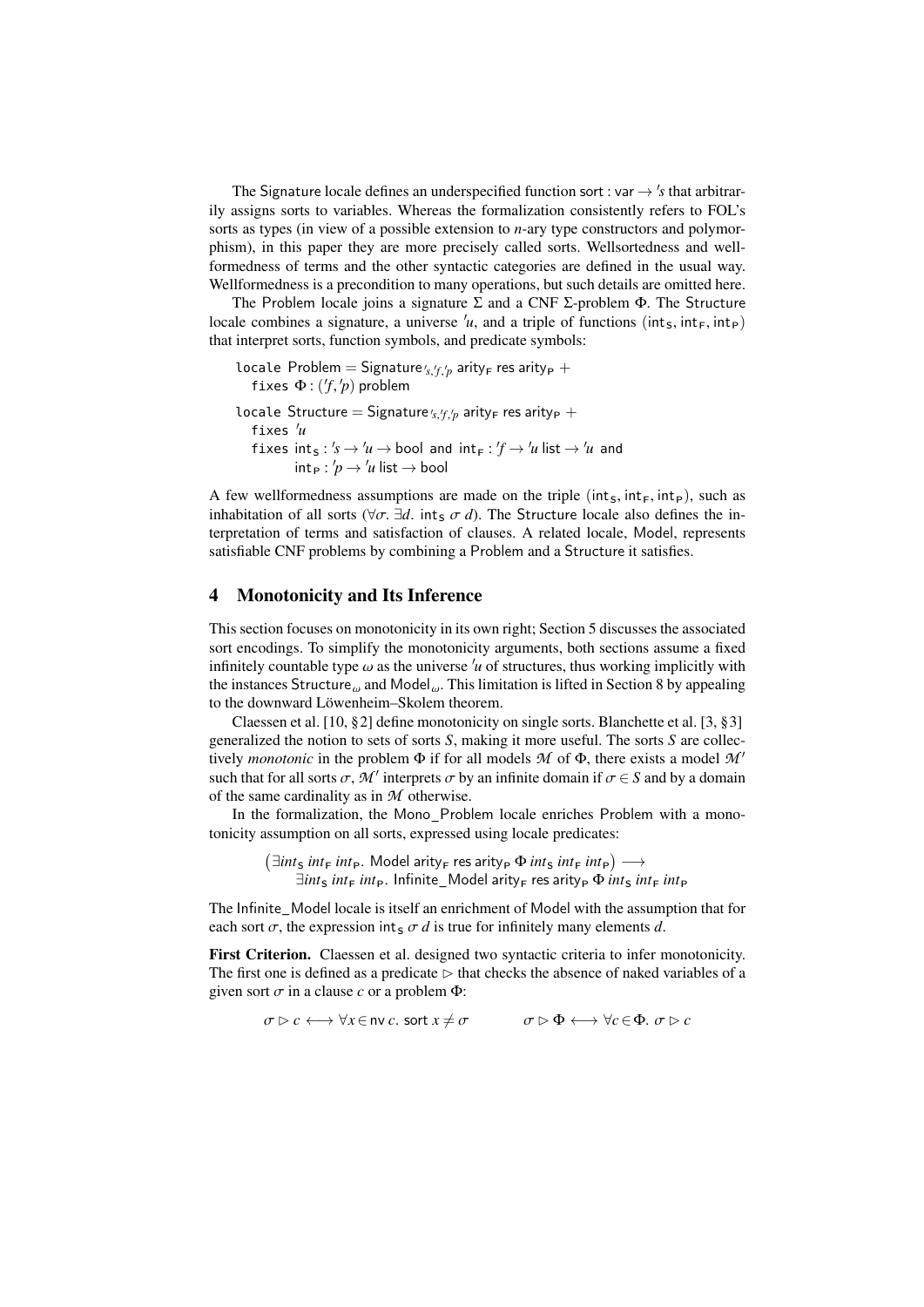The Signature locale defines an underspecified function sort : var  $\rightarrow$  's that arbitrarily assigns sorts to variables. Whereas the formalization consistently refers to FOL's sorts as types (in view of a possible extension to *n*-ary type constructors and polymorphism), in this paper they are more precisely called sorts. Wellsortedness and wellformedness of terms and the other syntactic categories are defined in the usual way. Wellformedness is a precondition to many operations, but such details are omitted here.

The Problem locale joins a signature  $\Sigma$  and a CNF  $\Sigma$ -problem  $\Phi$ . The Structure locale combines a signature, a universe  $\mu$ , and a triple of functions (int<sub>s</sub>, int<sub>F</sub>, int<sub>P</sub>) that interpret sorts, function symbols, and predicate symbols:

```
locale Problem = Signature s_i/f_i/p arity<sub>F</sub> res arity<sub>P</sub> + f<sup>i</sup> yos \Phi; (f f/p) problem
    fixes Φ : ('f, 'p) problem
\frac{1}{2} locale Structure = Signature's,'f,'p arity<sub>F</sub> res arity<sub>P</sub> +
   fixes \mufixes int_S : 's \to 'u \to bool and int_F : 'f \to 'u list \to 'u and
               \mathsf{int}_{\mathsf{P}} : 'p \to 'u list \to bool
```
A few wellformedness assumptions are made on the triple (int<sub>s</sub>, int<sub>F</sub>, int<sub>P</sub>), such as inhabitation of all sorts ( $\forall \sigma$ .  $\exists d$ . int<sub>s</sub>  $\sigma$  *d*). The Structure locale also defines the interpretation of terms and satisfaction of clauses. A related locale, Model, represents satisfiable CNF problems by combining a Problem and a Structure it satisfies.

## <span id="page-4-0"></span>4 Monotonicity and Its Inference

This section focuses on monotonicity in its own right; Section [5](#page-6-0) discusses the associated sort encodings. To simplify the monotonicity arguments, both sections assume a fixed infinitely countable type  $\omega$  as the universe 'u of structures, thus working implicitly with the instances Structure  $\omega$  and Model  $\omega$ . This limitation is lifted in Section [8](#page-13-0) by appealing to the downward Löwenheim–Skolem theorem.

Claessen et al. [\[10,](#page-15-4) §2] define monotonicity on single sorts. Blanchette et al. [\[3,](#page-14-0) §3] generalized the notion to sets of sorts *S*, making it more useful. The sorts *S* are collectively *monotonic* in the problem  $\Phi$  if for all models  $\mathcal M$  of  $\Phi$ , there exists a model  $\mathcal M'$ such that for all sorts  $\sigma$ ,  $M'$  interprets  $\sigma$  by an infinite domain if  $\sigma \in S$  and by a domain of the same cardinality as in M otherwise of the same cardinality as in *M* otherwise.

In the formalization, the Mono Problem locale enriches Problem with a monotonicity assumption on all sorts, expressed using locale predicates:

> $\left(\exists int_{\mathsf{S}} int_{\mathsf{F}} int_{\mathsf{P}} \cdot \mathsf{M} \right) \longrightarrow$ <br>  $\exists int_{\mathsf{S}} int_{\mathsf{P}} int_{\mathsf{P}} int_{\mathsf{P}} int_{\mathsf{P}} int_{\mathsf{P}} int_{\mathsf{P}} int_{\mathsf{P}} int_{\mathsf{P}} int_{\mathsf{P}} int_{\mathsf{P}} int_{\mathsf{P}} int_{\mathsf{P}} int_{\mathsf{P}} int_{\mathsf{P}} int_{\mathsf{P}} int_{\mathsf{P}} int_{\mathsf{P}} int_{\mathsf{P}} int_{\mathsf{P}} int_{\mathsf{P}} int_{\mathsf$  $∃int<sub>S</sub> int<sub>F</sub> int<sub>P</sub>$ . Infinite\_Model arity<sub>F</sub> res arity<sub>P</sub> Φ *int*<sub>S</sub> *int*<sub>F</sub> *int*<sub>P</sub>

The Infinite\_Model locale is itself an enrichment of Model with the assumption that for each sort  $\sigma$ , the expression int<sub>s</sub>  $\sigma$  *d* is true for infinitely many elements *d*.

First Criterion. Claessen et al. designed two syntactic criteria to infer monotonicity. The first one is defined as a predicate  $\triangleright$  that checks the absence of naked variables of a given sort  $\sigma$  in a clause *c* or a problem  $\Phi$ :

$$
\sigma \triangleright c \longleftrightarrow \forall x \in \text{nv } c. \text{ sort } x \neq \sigma \qquad \qquad \sigma \triangleright \Phi \longleftrightarrow \forall c \in \Phi. \ \sigma \triangleright c
$$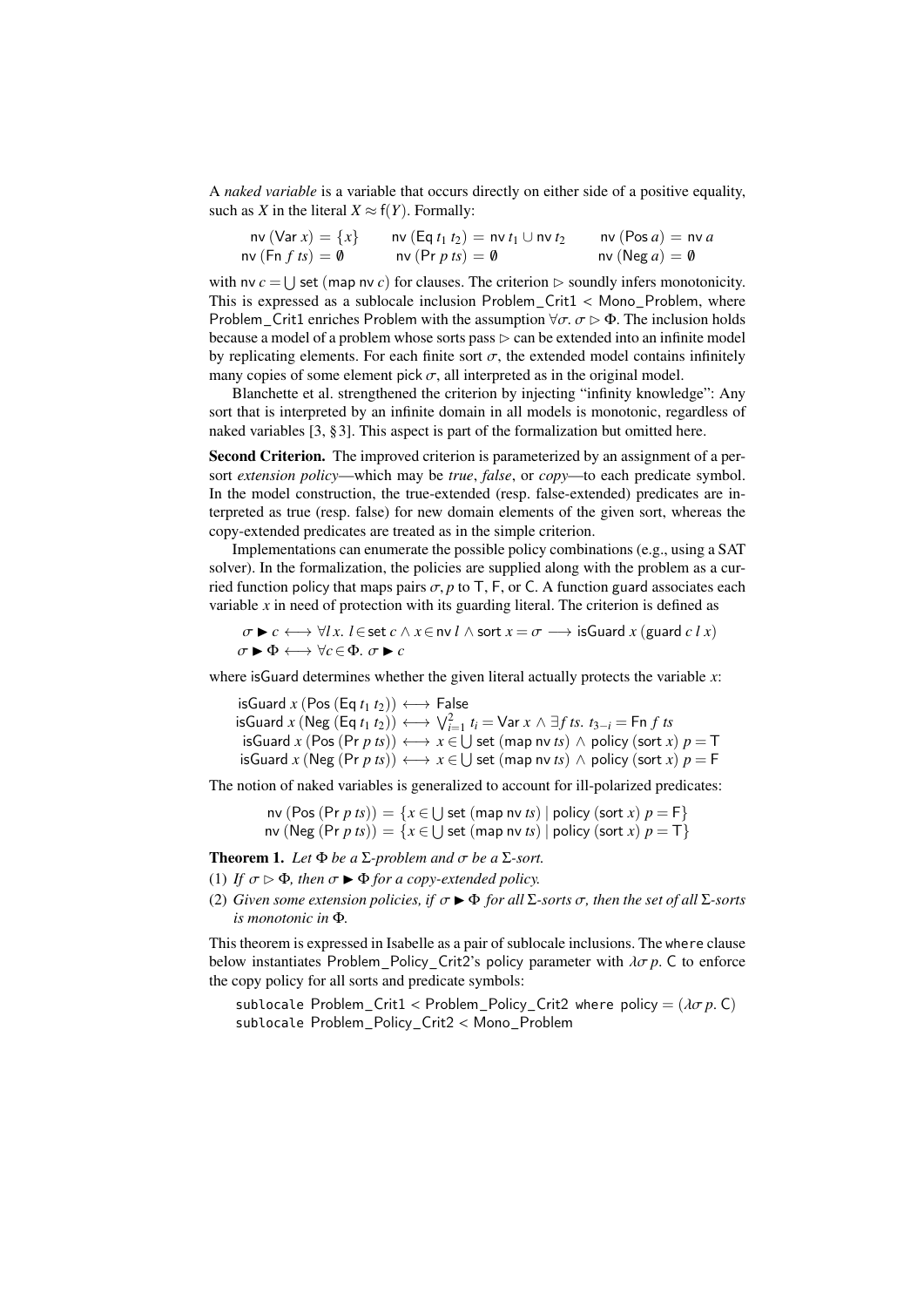A *naked variable* is a variable that occurs directly on either side of a positive equality, such as *X* in the literal  $X \approx f(Y)$ . Formally:

| nv (Var $x$ ) = $\{x\}$      | $n v (Eq t_1 t_2) = n v t_1 \cup n v t_2$ | $nv (Pos a) = nv a$      |
|------------------------------|-------------------------------------------|--------------------------|
| nv (Fn $f$ ts) = $\emptyset$ | nv (Pr $p ts) = \emptyset$                | nv (Neg $a) = \emptyset$ |

with nv  $c = \bigcup$  set (map nv *c*) for clauses. The criterion  $\triangleright$  soundly infers monotonicity. This is expressed as a sublocale inclusion Problem\_Crit1 < Mono\_Problem, where Problem\_Crit1 enriches Problem with the assumption  $\forall \sigma$ .  $\sigma \triangleright \Phi$ . The inclusion holds because a model of a problem whose sorts pass  $\triangleright$  can be extended into an infinite model by replicating elements. For each finite sort  $\sigma$ , the extended model contains infinitely many copies of some element pick  $\sigma$ , all interpreted as in the original model.

Blanchette et al. strengthened the criterion by injecting "infinity knowledge": Any sort that is interpreted by an infinite domain in all models is monotonic, regardless of naked variables [\[3,](#page-14-0) §3]. This aspect is part of the formalization but omitted here.

Second Criterion. The improved criterion is parameterized by an assignment of a persort *extension policy*—which may be *true*, *false*, or *copy*—to each predicate symbol. In the model construction, the true-extended (resp. false-extended) predicates are interpreted as true (resp. false) for new domain elements of the given sort, whereas the copy-extended predicates are treated as in the simple criterion.

Implementations can enumerate the possible policy combinations (e.g., using a SAT solver). In the formalization, the policies are supplied along with the problem as a curried function policy that maps pairs  $\sigma$ , *p* to T, F, or C. A function guard associates each variable *x* in need of protection with its guarding literal. The criterion is defined as

$$
\sigma \blacktriangleright c \longleftrightarrow \forall l x. \ l \in \text{set } c \land x \in \text{nv } l \land \text{sort } x = \sigma \longrightarrow \text{ isGuard } x \text{ (guard } c l x)
$$

$$
\sigma \blacktriangleright \Phi \longleftrightarrow \forall c \in \Phi. \ \sigma \blacktriangleright c
$$

where isGuard determines whether the given literal actually protects the variable *x*:

isGuard *x* (Pos (Eq  $t_1$   $t_2$ ))  $\longleftrightarrow$  False isGuard *x* ( $\text{Neg}(\text{Eq } t_1 t_2)$ )  $\longleftrightarrow \sqrt{\frac{2}{t-1}} t_i = \text{Var } x \wedge \exists f \text{ts}. t_{3-i} = \text{Fn } f \text{ts}$ <br>isGuard *x* ( $\text{Pos}(\text{Pr } n \text{ ts})$ )  $\longleftrightarrow x \in \square$  set (map ny ts)  $\wedge$  policy (sort *x*  $\mathsf{isGuard}\ x\ (\mathsf{Pos}\ (\mathsf{Pr}\ p\ ts))\longleftrightarrow x\in \bigcup \mathsf{set}\ (\mathsf{map}\ \mathsf{nv}\ ts)\ \wedge\ \mathsf{policy}\ (\mathsf{sort}\ x)\ p = \mathsf{True}$  $\mathsf{isGuard}\ x\ (\mathsf{Neg}\ (\mathsf{Pr}\ p\ ts))\longleftrightarrow x\in \mathsf{\bigcup}\ \mathsf{set}\ (\mathsf{map}\ \mathsf{nv}\ ts)\ \wedge\ \mathsf{policy}\ (\mathsf{sort}\ x)\ p=\mathsf{F}$ 

The notion of naked variables is generalized to account for ill-polarized predicates:

 $\mathsf{inv}(\mathsf{Pos}(\mathsf{Pr}\ p\ ts)) = \{x \in \bigcup \mathsf{set}(\mathsf{map}\ \mathsf{nv}\ ts) \mid \mathsf{policy}(\mathsf{sort}\ x)\ p = \mathsf{F}\}\$  $\mathsf{inv}\left(\mathsf{Neg}\left(\mathsf{Pr}\ p\ ts\right)\right) = \{x \in \bigcup \mathsf{set}\left(\mathsf{map}\ \mathsf{nv}\ ts\right) \mid \mathsf{policy}\left(\mathsf{sort}\ x\right)\ p = \mathsf{T}\}\$ 

<span id="page-5-0"></span>**Theorem 1.** *Let*  $Φ$  *be a*  $Σ$ *-problem and*  $σ$  *be a*  $Σ$ *-sort.* 

(1) *If*  $\sigma \triangleright \Phi$ *, then*  $\sigma \triangleright \Phi$  *for a copy-extended policy.* 

(2) *Given some extension policies, if*  $\sigma \triangleright \Phi$  *for all* Σ*-sorts*  $\sigma$ *, then the set of all* Σ*-sorts is monotonic in* Φ*.*

This theorem is expressed in Isabelle as a pair of sublocale inclusions. The where clause below instantiates Problem Policy Crit2's policy parameter with  $\lambda \sigma p$ . C to enforce the copy policy for all sorts and predicate symbols:

sublocale Problem\_Crit1 < Problem\_Policy\_Crit2 where policy =  $(\lambda \sigma p.C)$ sublocale Problem\_Policy\_Crit2 < Mono\_Problem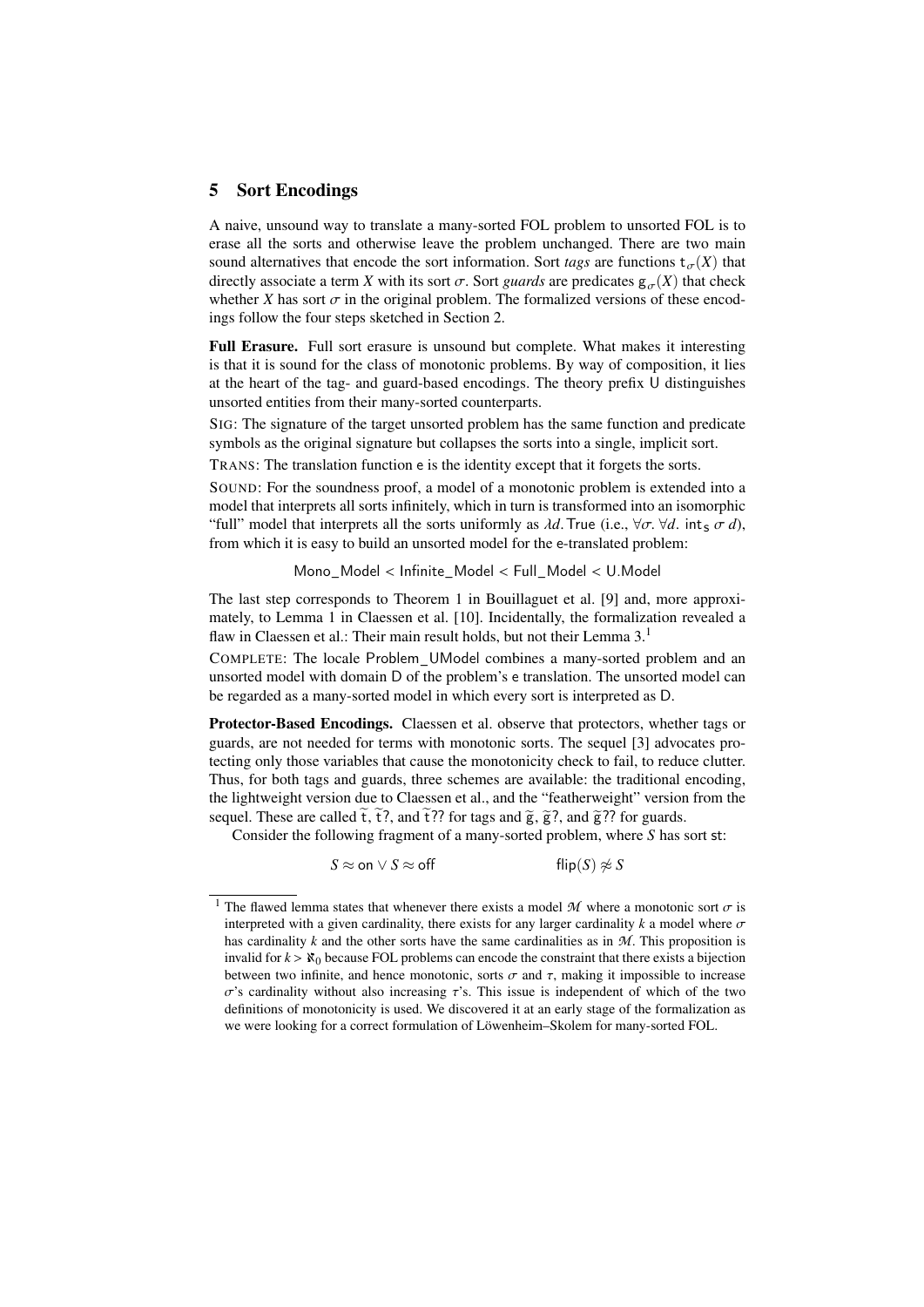#### <span id="page-6-0"></span>5 Sort Encodings

A naive, unsound way to translate a many-sorted FOL problem to unsorted FOL is to erase all the sorts and otherwise leave the problem unchanged. There are two main sound alternatives that encode the sort information. Sort *tags* are functions  $t_{\sigma}(X)$  that directly associate a term *X* with its sort  $\sigma$ . Sort *guards* are predicates  $g_{\sigma}(X)$  that check whether *X* has sort  $\sigma$  in the original problem. The formalized versions of these encodings follow the four steps sketched in Section [2.](#page-1-0)

Full Erasure. Full sort erasure is unsound but complete. What makes it interesting is that it is sound for the class of monotonic problems. By way of composition, it lies at the heart of the tag- and guard-based encodings. The theory prefix U distinguishes unsorted entities from their many-sorted counterparts.

SIG: The signature of the target unsorted problem has the same function and predicate symbols as the original signature but collapses the sorts into a single, implicit sort.

TRANS: The translation function e is the identity except that it forgets the sorts.

SOUND: For the soundness proof, a model of a monotonic problem is extended into a model that interprets all sorts infinitely, which in turn is transformed into an isomorphic "full" model that interprets all the sorts uniformly as  $\lambda d$ . True (i.e.,  $\forall \sigma$ .  $\forall d$ . int<sub>s</sub>  $\sigma d$ ), from which it is easy to build an unsorted model for the e-translated problem:

Mono\_Model < Infinite\_Model < Full\_Model < U.Model

The last step corresponds to Theorem 1 in Bouillaguet et al. [\[9\]](#page-15-8) and, more approximately, to Lemma 1 in Claessen et al. [\[10\]](#page-15-4). Incidentally, the formalization revealed a flaw in Claessen et al.: Their main result holds, but not their Lemma 3.<sup>[1](#page-6-1)</sup>

COMPLETE: The locale Problem\_UModel combines a many-sorted problem and an unsorted model with domain D of the problem's e translation. The unsorted model can be regarded as a many-sorted model in which every sort is interpreted as D.

Protector-Based Encodings. Claessen et al. observe that protectors, whether tags or guards, are not needed for terms with monotonic sorts. The sequel [\[3\]](#page-14-0) advocates protecting only those variables that cause the monotonicity check to fail, to reduce clutter. Thus, for both tags and guards, three schemes are available: the traditional encoding, the lightweight version due to Claessen et al., and the "featherweight" version from the sequel. These are called  $\tilde{t}$ ,  $\tilde{t}$ ?, and  $\tilde{t}$ ?? for tags and  $\tilde{g}$ ,  $\tilde{g}$ ?, and  $\tilde{g}$ ?? for guards.

Consider the following fragment of a many-sorted problem, where *S* has sort st:

 $S \approx \text{on} \vee S \approx \text{off}$  flip(*S*)  $\approx S$ 

<span id="page-6-1"></span><sup>&</sup>lt;sup>1</sup> The flawed lemma states that whenever there exists a model  $M$  where a monotonic sort  $\sigma$  is interpreted with a given cardinality, there exists for any larger cardinality  $k$  a model where  $\sigma$ has cardinality *k* and the other sorts have the same cardinalities as in *M*. This proposition is invalid for  $k > \aleph_0$  because FOL problems can encode the constraint that there exists a bijection between two infinite, and hence monotonic, sorts  $\sigma$  and  $\tau$ , making it impossible to increase  $σ's$  cardinality without also increasing  $τ's$ . This issue is independent of which of the two definitions of monotonicity is used. We discovered it at an early stage of the formalization as we were looking for a correct formulation of Löwenheim–Skolem for many-sorted FOL.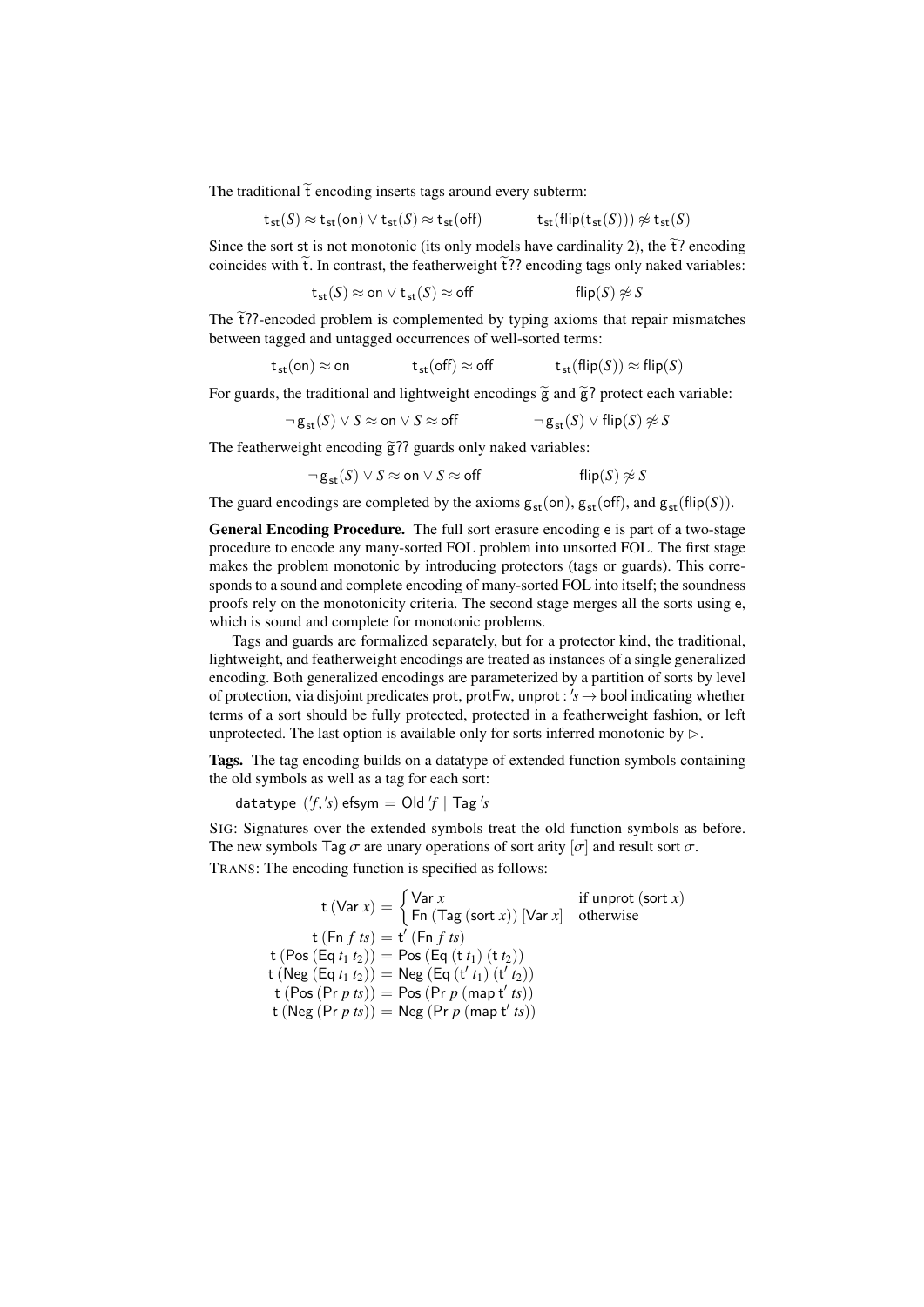The traditional  $\tilde{t}$  encoding inserts tags around every subterm:

$$
t_{st}(S) \approx t_{st}(on) \vee t_{st}(S) \approx t_{st}(off) \qquad t_{st}(flip(t_{st}(S))) \not\approx t_{st}(S)
$$

Since the sort st is not monotonic (its only models have cardinality 2), the  $\tilde{t}$ ? encoding coincides with  $\tilde{t}$ . In contrast, the featherweight  $\tilde{t}$ ?? encoding tags only naked variables:

$$
t_{st}(S) \approx \text{on} \vee t_{st}(S) \approx \text{off} \qquad \qquad \text{flip}(S) \not\approx S
$$

The  $\tilde{t}$ ??-encoded problem is complemented by typing axioms that repair mismatches between tagged and untagged occurrences of well-sorted terms:

$$
t_{st}(on) \approx on
$$
  $t_{st}(off) \approx off$   $t_{st}(flip(S)) \approx flip(S)$ 

For guards, the traditional and lightweight encodings  $\tilde{g}$  and  $\tilde{g}$ ? protect each variable:

$$
\neg g_{st}(S) \lor S \approx \text{on} \lor S \approx \text{off} \qquad \qquad \neg g_{st}(S) \lor \text{flip}(S) \not\approx S
$$

The featherweight encoding  $\tilde{g}$ ?? guards only naked variables:

$$
\neg g_{st}(S) \lor S \approx \text{on} \lor S \approx \text{off} \qquad \text{flip}(S) \not\approx S
$$

The guard encodings are completed by the axioms  $g_{st}(on)$ ,  $g_{st}(off)$ , and  $g_{st}(flip(S))$ .

General Encoding Procedure. The full sort erasure encoding e is part of a two-stage procedure to encode any many-sorted FOL problem into unsorted FOL. The first stage makes the problem monotonic by introducing protectors (tags or guards). This corresponds to a sound and complete encoding of many-sorted FOL into itself; the soundness proofs rely on the monotonicity criteria. The second stage merges all the sorts using e, which is sound and complete for monotonic problems.

Tags and guards are formalized separately, but for a protector kind, the traditional, lightweight, and featherweight encodings are treated as instances of a single generalized encoding. Both generalized encodings are parameterized by a partition of sorts by level of protection, via disjoint predicates prot, protFw, unprot :  $s \rightarrow$  bool indicating whether<br>terms of a sort should be fully protected, protected in a featherweight fashion, or left terms of a sort should be fully protected, protected in a featherweight fashion, or left unprotected. The last option is available only for sorts inferred monotonic by  $\triangleright$ .

Tags. The tag encoding builds on a datatype of extended function symbols containing the old symbols as well as a tag for each sort:

datatype  $(f, 's)$  efsym  $=$  Old  $'f$  | Tag  $'s$ 

SIG: Signatures over the extended symbols treat the old function symbols as before. The new symbols Tag  $\sigma$  are unary operations of sort arity  $[\sigma]$  and result sort  $\sigma$ . TRANS: The encoding function is specified as follows:

$$
t (Var x) = \begin{cases} Var x & \text{if unprot (sort x)} \\ Fn (Tag (sort x)) [Var x] & \text{otherwise} \end{cases}
$$
  
\n
$$
t (Fn f ts) = t' (Fn f ts)
$$
  
\n
$$
t (Pos (Eq t1 t2)) = Pos (Eq (t t1) (t t2))
$$
  
\n
$$
t (Neg (Eq t1 t2)) = Neg (Eq (t' t1) (t' t2))
$$
  
\n
$$
t (Pos (Pr p ts)) = Pos (Pr p (map t' ts))
$$
  
\n
$$
t (Neg (Pr p ts)) = Neg (Pr p (map t' ts))
$$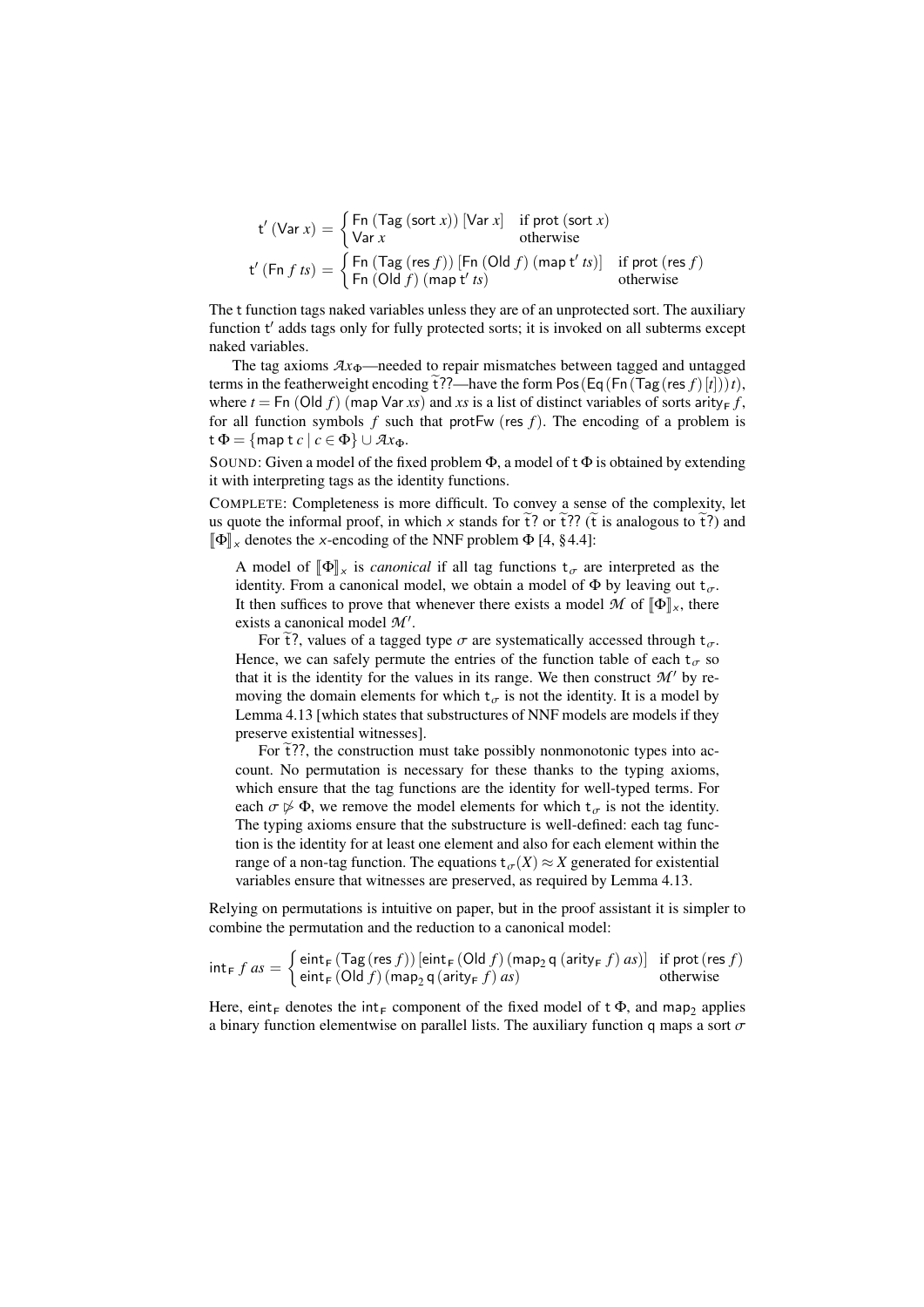$$
t'(Var x) = \begin{cases} \n\text{Fn} (\text{Tag} (\text{sort} x)) [\text{Var} x] & \text{if } \text{prot} (\text{sort} x) \\ \n\text{Var} x & \text{otherwise} \n\end{cases}
$$
\n
$$
t'(Fn f ts) = \begin{cases} \n\text{Fn} (\text{Tag} (\text{res} f)) [\text{Fn} (\text{Old} f) (\text{map} t' ts)] & \text{if } \text{prot} (\text{res} f) \\ \n\text{Fn} (\text{Old} f) (\text{map} t' ts) & \text{otherwise} \n\end{cases}
$$

The t function tags naked variables unless they are of an unprotected sort. The auxiliary function t' adds tags only for fully protected sorts; it is invoked on all subterms except naked variables.

The tag axioms  $Ax_{\Phi}$ —needed to repair mismatches between tagged and untagged terms in the featherweight encoding  $\tilde{t}$ ??—have the form Pos(Eq(Fn(Tag(res *f*)[*t*]))*t*), where  $t = \text{Fn}$  (Old *f*) (map Var *xs*) and *xs* is a list of distinct variables of sorts arity<sub>F</sub> *f*, for all function symbols  $f$  such that protFw (res  $f$ ). The encoding of a problem is  $\mathbf{t} \, \Phi = \{ \text{map } \mathbf{t} \, c \mid c \in \Phi \} \cup \mathcal{A}x_{\Phi}.$ 

SOUND: Given a model of the fixed problem  $\Phi$ , a model of  $\tau \Phi$  is obtained by extending it with interpreting tags as the identity functions.

COMPLETE: Completeness is more difficult. To convey a sense of the complexity, let us quote the informal proof, in which x stands for  $\tilde{t}$ ? or  $\tilde{t}$ ?? ( $\tilde{t}$  is analogous to  $\tilde{t}$ ?) and  $\llbracket \Phi \rrbracket_x$  denotes the x-encoding of the NNF problem  $\Phi$  [\[4,](#page-14-1) §4.4]:

A model of  $[\![\Phi]\!]_x$  is *canonical* if all tag functions  $t_\sigma$  are interpreted as the identity. From a canonical model, we obtain a model of  $\Phi$  by leaving out  $t_{\sigma}$ . It then suffices to prove that whenever there exists a model  $\mathcal M$  of  $\llbracket \Phi \rrbracket_x$ , there exists a canonical model  $M'$ .

For  $\tilde{t}$ ?, values of a tagged type  $\sigma$  are systematically accessed through  $t_{\sigma}$ . Hence, we can safely permute the entries of the function table of each  $t_{\sigma}$  so that it is the identity for the values in its range. We then construct  $M'$  by removing the domain elements for which  $t_{\sigma}$  is not the identity. It is a model by Lemma 4.13 [which states that substructures of NNF models are models if they preserve existential witnesses].

For  $t$ ??, the construction must take possibly nonmonotonic types into account. No permutation is necessary for these thanks to the typing axioms, which ensure that the tag functions are the identity for well-typed terms. For each  $\sigma \not\triangleright \Phi$ , we remove the model elements for which  $t_{\sigma}$  is not the identity. The typing axioms ensure that the substructure is well-defined: each tag function is the identity for at least one element and also for each element within the range of a non-tag function. The equations  $t_{\sigma}(X) \approx X$  generated for existential variables ensure that witnesses are preserved, as required by Lemma 4.13.

Relying on permutations is intuitive on paper, but in the proof assistant it is simpler to combine the permutation and the reduction to a canonical model:

$$
\mathsf{int}_{\mathsf{F}} f \, as = \begin{cases} \mathsf{eint}_{\mathsf{F}} (\mathsf{Tag} \, (\mathsf{res}\, f)) \, [\mathsf{eint}_{\mathsf{F}} (\mathsf{Old}\, f) \, (\mathsf{map}_2\, \mathsf{q} \, (\mathsf{arity}_{\mathsf{F}}\, f) \, as)] & \text{if } \mathsf{prot} \, (\mathsf{res}\, f) \\ \mathsf{eint}_{\mathsf{F}} (\mathsf{Old}\, f) \, (\mathsf{map}_2\, \mathsf{q} \, (\mathsf{arity}_{\mathsf{F}}\, f) \, as) & \text{otherwise} \end{cases}
$$

Here, eint<sub>F</sub> denotes the  $int_F$  component of the fixed model of  $t \Phi$ , and map<sub>2</sub> applies a binary function elementwise on parallel lists. The auxiliary function q maps a sort  $\sigma$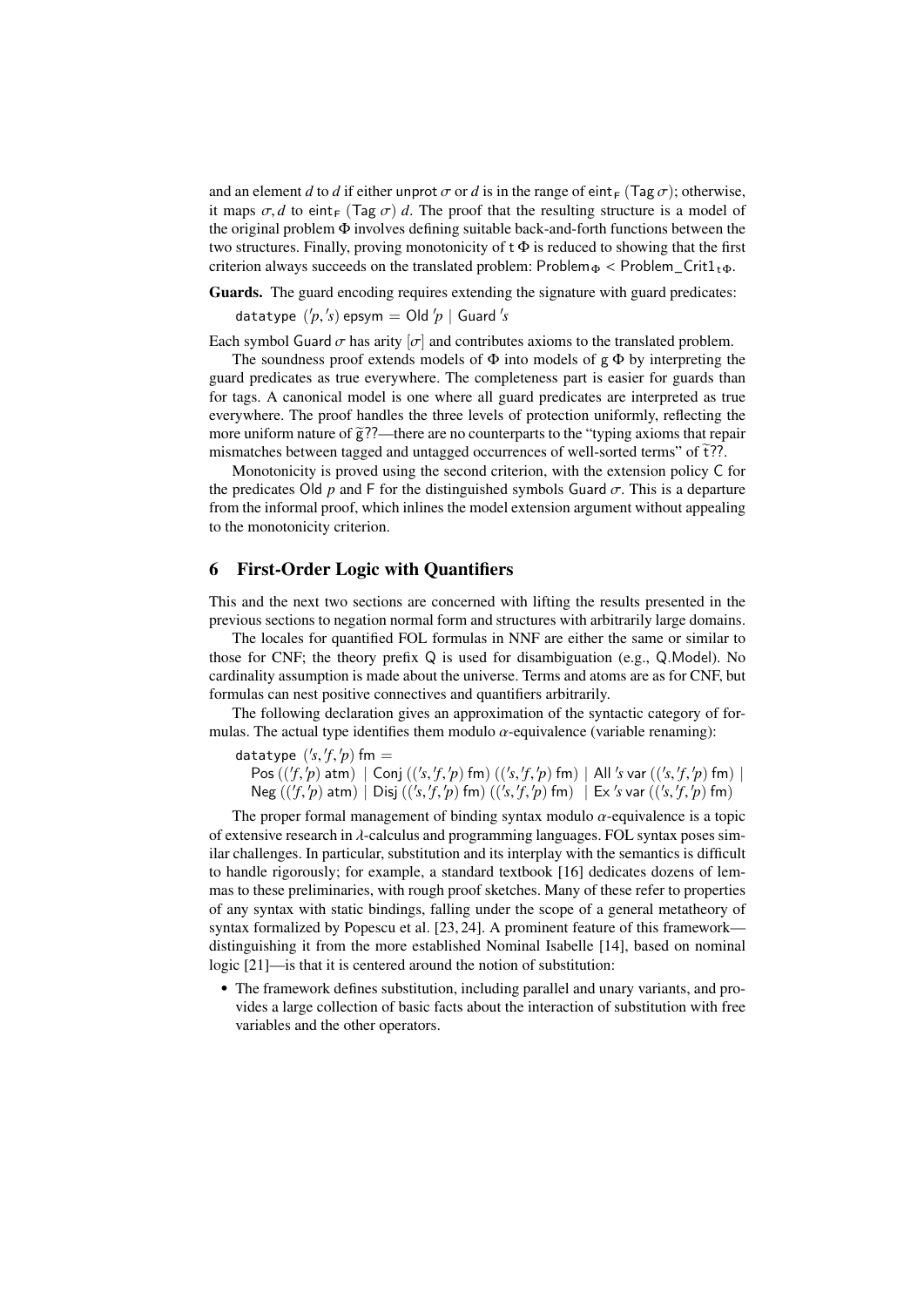and an element *d* to *d* if either unprot  $\sigma$  or *d* is in the range of eint<sub>F</sub> (Tag  $\sigma$ ); otherwise, it maps  $\sigma$ , *d* to eint<sub>F</sub> (Tag  $\sigma$ ) *d*. The proof that the resulting structure is a model of the original problem Φ involves defining suitable back-and-forth functions between the two structures. Finally, proving monotonicity of  $t \Phi$  is reduced to showing that the first criterion always succeeds on the translated problem: Problem $_\Phi$  < Problem  $\text{Crit}_{\text{t}\Phi}$ .

Guards. The guard encoding requires extending the signature with guard predicates:

datatype  $(p, 's)$  epsym  $=$  Old  $'p \mid$  Guard  $'s$ 

Each symbol Guard  $\sigma$  has arity  $[\sigma]$  and contributes axioms to the translated problem.

The soundness proof extends models of  $\Phi$  into models of g  $\Phi$  by interpreting the guard predicates as true everywhere. The completeness part is easier for guards than for tags. A canonical model is one where all guard predicates are interpreted as true everywhere. The proof handles the three levels of protection uniformly, reflecting the more uniform nature of  $\tilde{g}$ ??—there are no counterparts to the "typing axioms that repair mismatches between tagged and untagged occurrences of well-sorted terms" of  $\tilde{t}$ ??.

Monotonicity is proved using the second criterion, with the extension policy C for the predicates Old  $p$  and F for the distinguished symbols Guard  $\sigma$ . This is a departure from the informal proof, which inlines the model extension argument without appealing to the monotonicity criterion.

#### <span id="page-9-0"></span>6 First-Order Logic with Quantifiers

This and the next two sections are concerned with lifting the results presented in the previous sections to negation normal form and structures with arbitrarily large domains.

The locales for quantified FOL formulas in NNF are either the same or similar to those for CNF; the theory prefix Q is used for disambiguation (e.g., Q.Model). No cardinality assumption is made about the universe. Terms and atoms are as for CNF, but formulas can nest positive connectives and quantifiers arbitrarily.

The following declaration gives an approximation of the syntactic category of formulas. The actual type identifies them modulo  $\alpha$ -equivalence (variable renaming):

datatype  $('s, 'f, 'p)$  fm =<br>Pos  $(('f, 'p)$  atm) | Co

 $\text{Pos}((f, p) \text{ atm}) \mid \text{Conj}((s, f, p) \text{ fm})((s, f, p) \text{ fm}) \mid \text{All } s \text{ var}((s, f, p) \text{ fm}) \mid \text{Area}(f, f, p) \text{ fm}) \mid \text{Disc}(f, g, g) \mid \text{Area}(f, g, g) \mid \text{Area}(f, g, g) \mid \text{Area}(f, g, g) \mid \text{Area}(f, g, g) \mid \text{Area}(f, g, g) \mid \text{Area}(f, g, g) \mid \text{Area}(f, g, g) \mid \text{Area}(f, g, g) \mid \text{Area}(f, g, g)$ Neg (('f,'p) atm) | Disj (('s,'f,'p) fm) (('s,'f,'p) fm) | Ex 's var (('s,'f,'p) fm)

The proper formal management of binding syntax modulo  $\alpha$ -equivalence is a topic of extensive research in  $\lambda$ -calculus and programming languages. FOL syntax poses similar challenges. In particular, substitution and its interplay with the semantics is difficult to handle rigorously; for example, a standard textbook [\[16\]](#page-15-19) dedicates dozens of lemmas to these preliminaries, with rough proof sketches. Many of these refer to properties of any syntax with static bindings, falling under the scope of a general metatheory of syntax formalized by Popescu et al. [\[23,](#page-15-13) [24\]](#page-15-14). A prominent feature of this framework distinguishing it from the more established Nominal Isabelle [\[14\]](#page-15-20), based on nominal logic [\[21\]](#page-15-15)—is that it is centered around the notion of substitution:

• The framework defines substitution, including parallel and unary variants, and provides a large collection of basic facts about the interaction of substitution with free variables and the other operators.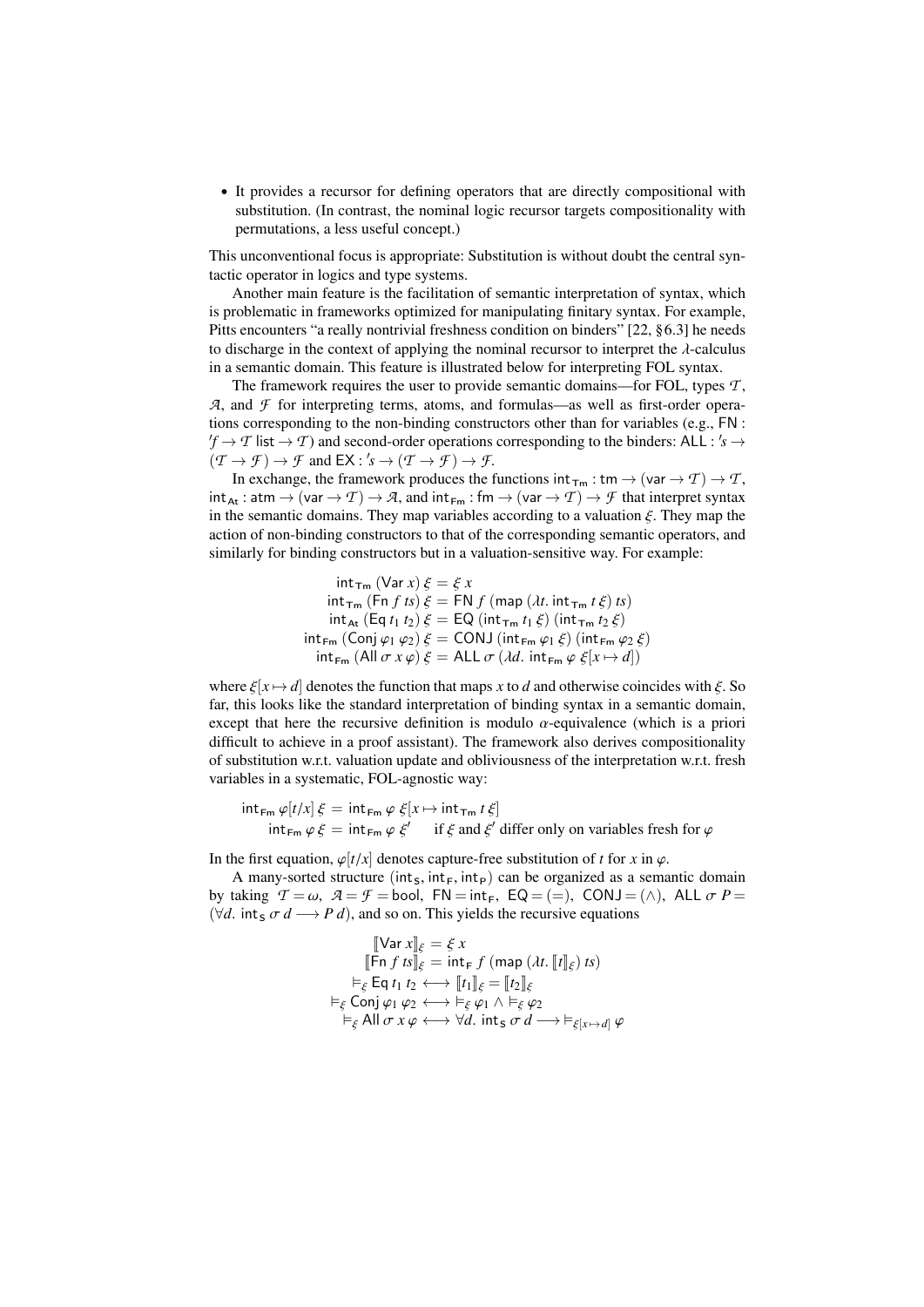• It provides a recursor for defining operators that are directly compositional with substitution. (In contrast, the nominal logic recursor targets compositionality with permutations, a less useful concept.)

This unconventional focus is appropriate: Substitution is without doubt the central syntactic operator in logics and type systems.

Another main feature is the facilitation of semantic interpretation of syntax, which is problematic in frameworks optimized for manipulating finitary syntax. For example, Pitts encounters "a really nontrivial freshness condition on binders" [\[22,](#page-15-21) §6.3] he needs to discharge in the context of applying the nominal recursor to interpret the  $\lambda$ -calculus in a semantic domain. This feature is illustrated below for interpreting FOL syntax.

The framework requires the user to provide semantic domains—for FOL, types *T* , *A*, and *F* for interpreting terms, atoms, and formulas—as well as first-order operations corresponding to the non-binding constructors other than for variables (e.g., FN :  $f \rightarrow T$  list  $\rightarrow T$ ) and second-order operations corresponding to the binders: ALL :  $s \rightarrow$  $(T \to \mathcal{F}) \to \mathcal{F}$  and  $EX : 's \to (\mathcal{T} \to \mathcal{F}) \to \mathcal{F}$ .

In exchange, the framework produces the functions  $\text{int}_{\mathsf{Tm}} : \text{tm} \to (\text{var} \to \mathcal{T}) \to \mathcal{T}$ ,  $int_{At} : atm \rightarrow (var \rightarrow T) \rightarrow A$ , and  $int_{Fm} : fm \rightarrow (var \rightarrow T) \rightarrow F$  that interpret syntax in the semantic domains. They map variables according to a valuation  $\xi$ . They map the action of non-binding constructors to that of the corresponding semantic operators, and similarly for binding constructors but in a valuation-sensitive way. For example:

$$
\begin{aligned}\n\inf_{\mathsf{Tm}} (\text{Var } x) \, \xi &= \xi \, x \\
\inf_{\mathsf{Tm}} (\mathsf{Fn} \, f \, t\mathfrak{s}) \, \xi &= \mathsf{FN} \, f \, (\mathsf{map} \, (\lambda t. \, \mathsf{int}_{\mathsf{Tm}} \, t \, \xi) \, t\mathfrak{s}) \\
\inf_{\mathsf{At}} (\mathsf{Eq } \, t_1 \, t_2) \, \xi &= \mathsf{EQ} \, (\mathsf{int}_{\mathsf{Tm}} \, t_1 \, \xi) \, (\mathsf{int}_{\mathsf{Tm}} \, t_2 \, \xi) \\
\inf_{\mathsf{Fm}} (\mathsf{Conj} \, \varphi_1 \, \varphi_2) \, \xi &= \mathsf{CONJ} \, (\mathsf{int}_{\mathsf{Fm}} \, \varphi_1 \, \xi) \, (\mathsf{int}_{\mathsf{Fm}} \, \varphi_2 \, \xi) \\
\inf_{\mathsf{Fm}} (\mathsf{All} \, \sigma \, x \, \varphi) \, \xi &= \mathsf{ALL} \, \sigma \, (\lambda d. \, \mathsf{int}_{\mathsf{Fm}} \, \varphi \, \xi \, [x \mapsto d])\n\end{aligned}
$$

where  $\xi[x \mapsto d]$  denotes the function that maps *x* to *d* and otherwise coincides with  $\xi$ . So far, this looks like the standard interpretation of binding syntax in a semantic domain, except that here the recursive definition is modulo  $\alpha$ -equivalence (which is a priori difficult to achieve in a proof assistant). The framework also derives compositionality of substitution w.r.t. valuation update and obliviousness of the interpretation w.r.t. fresh variables in a systematic, FOL-agnostic way:

intFm <sup>ϕ</sup>[*t*/*x*] <sup>ξ</sup> <sup>=</sup> intFm ϕ ξ[*<sup>x</sup>* 7→ int Tm *<sup>t</sup>* <sup>ξ</sup>] int<sub>Fm</sub>  $\varphi \xi = \text{int}_{Fm} \varphi \xi'$  if  $\xi$  and  $\xi'$  differ only on variables fresh for  $\varphi$ 

In the first equation,  $\varphi[t/x]$  denotes capture-free substitution of *t* for *x* in  $\varphi$ .

A many-sorted structure (int<sub>S</sub>, int<sub>F</sub>, int<sub>P</sub>) can be organized as a semantic domain by taking  $\mathcal{T} = \omega$ ,  $\mathcal{A} = \mathcal{F} =$  bool,  $FN = int_F$ ,  $EQ = (=)$ ,  $CONJ = (\wedge)$ , ALL  $\sigma P =$  $(\forall d$ . int<sub>s</sub>  $\sigma d \longrightarrow P d$ , and so on. This yields the recursive equations

$$
\begin{aligned}\n\llbracket \text{Var } x \rrbracket_{\xi} &= \xi x \\
\llbracket \text{Fn } f \text{ts} \rrbracket_{\xi} &= \text{int}_{\mathsf{F}} f (\text{map } (\lambda t. \llbracket t \rrbracket_{\xi}) \text{ ts}) \\
&\models_{\xi} \text{Eq } t_1 \text{ } t_2 \longleftrightarrow \llbracket t_1 \rrbracket_{\xi} = \llbracket t_2 \rrbracket_{\xi} \\
\models_{\xi} \text{Conj } \varphi_1 \varphi_2 \longleftrightarrow \models_{\xi} \varphi_1 \land \models_{\xi} \varphi_2 \\
&\models_{\xi} \text{All } \sigma x \varphi \longleftrightarrow \forall d. \text{ int}_{\mathsf{S}} \sigma d \longrightarrow \models_{\xi[x \mapsto d]} \varphi\n\end{aligned}
$$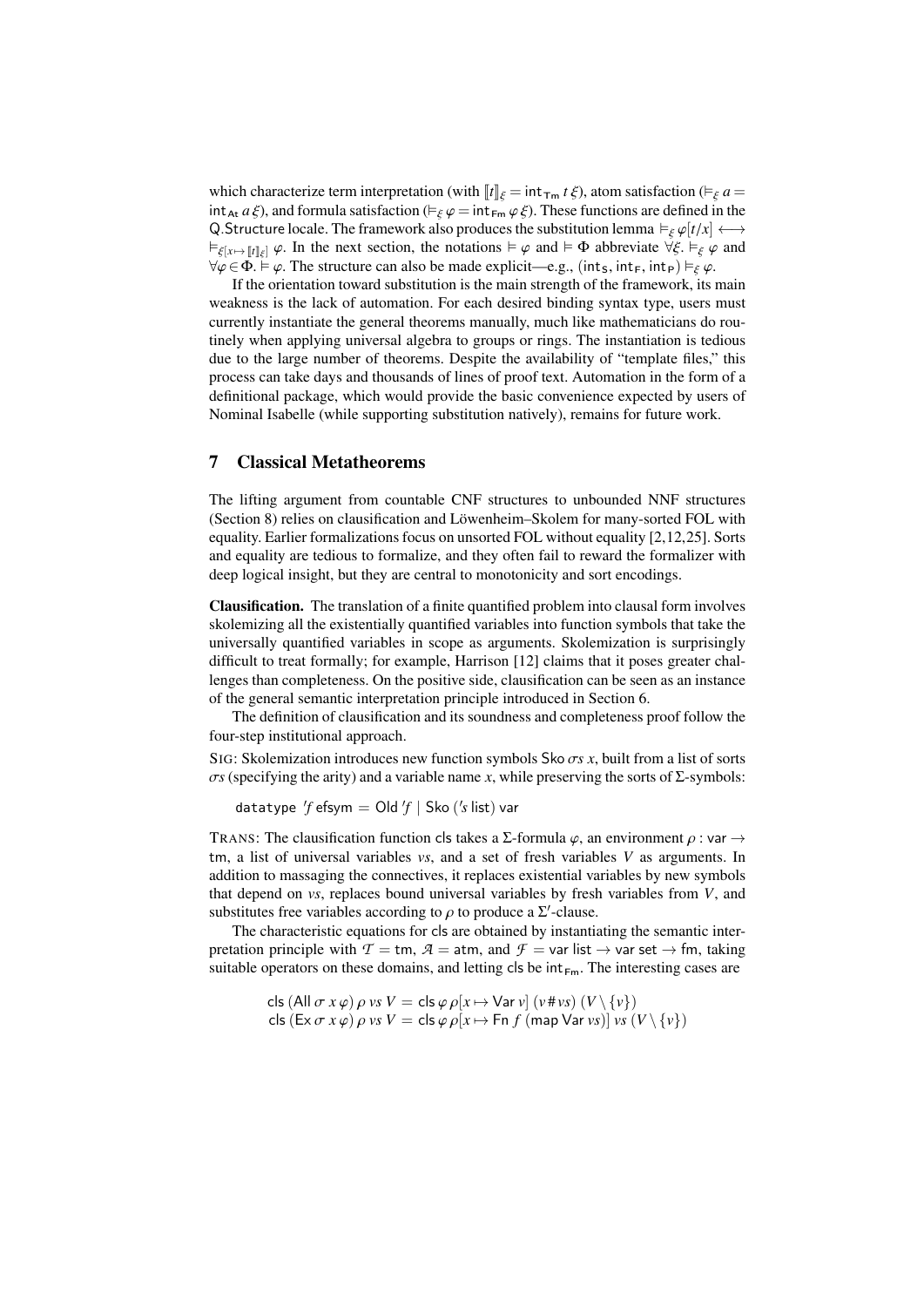which characterize term interpretation (with  $\llbracket t \rrbracket_{\xi} = \text{int}_{\tau_{\text{m}}} t \xi$ ), atom satisfaction ( $\models_{\xi} a =$ int<sub>At</sub>  $a \xi$ ), and formula satisfaction ( $\models_{\xi} \varphi = \text{int}_{Fm} \varphi \xi$ ). These functions are defined in the Q. Structure locale. The framework also produces the substitution lemma  $\models_{\xi} \varphi[t/x] \longleftrightarrow$  $\forall \xi[x \mapsto [t]_{\xi}] \varphi$ . In the next section, the notations  $\models \varphi$  and  $\models \Phi$  abbreviate  $\forall \xi \cdot \models_{\xi} \varphi$  and  $\forall \omega \in \Phi$   $\models \omega$ . The structure can also be made expliciting  $\alpha$ , (int., int., int.)  $\models \omega \varphi$ .  $\forall \varphi \in \Phi$ .  $\models \varphi$ . The structure can also be made explicit—e.g., (int<sub>S</sub>, int<sub>F</sub>, int<sub>P</sub>)  $\models \varphi \varphi$ .<br>
If the orientation toward substitution is the main strength of the framework its

If the orientation toward substitution is the main strength of the framework, its main weakness is the lack of automation. For each desired binding syntax type, users must currently instantiate the general theorems manually, much like mathematicians do routinely when applying universal algebra to groups or rings. The instantiation is tedious due to the large number of theorems. Despite the availability of "template files," this process can take days and thousands of lines of proof text. Automation in the form of a definitional package, which would provide the basic convenience expected by users of Nominal Isabelle (while supporting substitution natively), remains for future work.

#### 7 Classical Metatheorems

The lifting argument from countable CNF structures to unbounded NNF structures (Section [8\)](#page-13-0) relies on clausification and Löwenheim–Skolem for many-sorted FOL with equality. Earlier formalizations focus on unsorted FOL without equality [\[2,](#page-14-3)[12](#page-15-9)[,25\]](#page-15-10). Sorts and equality are tedious to formalize, and they often fail to reward the formalizer with deep logical insight, but they are central to monotonicity and sort encodings.

Clausification. The translation of a finite quantified problem into clausal form involves skolemizing all the existentially quantified variables into function symbols that take the universally quantified variables in scope as arguments. Skolemization is surprisingly difficult to treat formally; for example, Harrison [\[12\]](#page-15-9) claims that it poses greater challenges than completeness. On the positive side, clausification can be seen as an instance of the general semantic interpretation principle introduced in Section [6.](#page-9-0)

The definition of clausification and its soundness and completeness proof follow the four-step institutional approach.

SIG: Skolemization introduces new function symbols Sko  $\sigma s$  *x*, built from a list of sorts  $\sigma s$  (specifying the arity) and a variable name *x*, while preserving the sorts of  $\Sigma$ -symbols:

datatype  $'f$  efsym  $=$  Old  $'f$   $|$  Sko ( $'s$  list) var

TRANS: The clausification function cls takes a  $\Sigma$ -formula  $\varphi$ , an environment  $\rho$  : var  $\rightarrow$ tm, a list of universal variables *vs*, and a set of fresh variables *V* as arguments. In addition to massaging the connectives, it replaces existential variables by new symbols that depend on *vs*, replaces bound universal variables by fresh variables from *V*, and substitutes free variables according to  $\rho$  to produce a  $\Sigma'$ -clause.<br>The characteristic equations for cls are obtained by instantial

The characteristic equations for cls are obtained by instantiating the semantic interpretation principle with  $\mathcal{T} = \text{tm}$ ,  $\mathcal{A} = \text{atm}$ , and  $\mathcal{F} = \text{var list} \rightarrow \text{var set} \rightarrow \text{fm}$ , taking suitable operators on these domains, and letting cls be  $int_{F_m}$ . The interesting cases are

$$
\mathsf{cls}\ (\mathsf{All}\ \sigma\ x\ \varphi)\ \rho\ vs\ V = \mathsf{cls}\ \varphi\ \rho[x \mapsto \mathsf{Var}\ v]\ (v \# \nu s)\ (V \setminus \{v\})
$$
\n
$$
\mathsf{cls}\ (\mathsf{Ex}\ \sigma\ x\ \varphi)\ \rho\ vs\ V = \mathsf{cls}\ \varphi\ \rho[x \mapsto \mathsf{Fn}\ f\ (\mathsf{map}\ \mathsf{Var}\ v s)]\ vs\ (V \setminus \{v\})
$$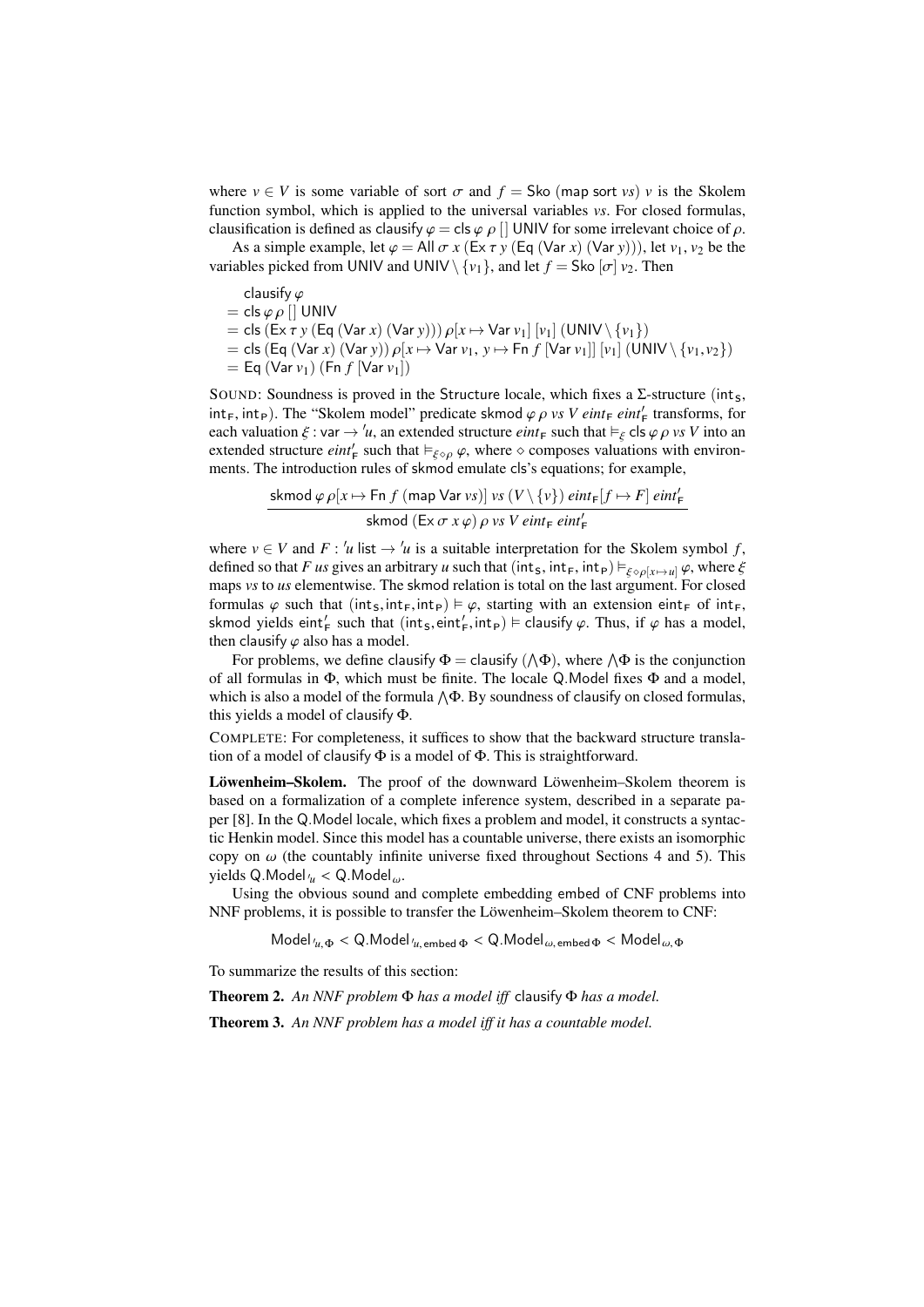where  $v \in V$  is some variable of sort  $\sigma$  and  $f = Sko$  (map sort *vs*) *v* is the Skolem function symbol, which is applied to the universal variables *vs*. For closed formulas, clausification is defined as clausify  $\varphi = \text{cls } \varphi \rho$  | UNIV for some irrelevant choice of  $\rho$ .

As a simple example, let  $\varphi = All \sigma x$  (Ex  $\tau y$  (Eq (Var *x*) (Var *y*))), let  $v_1, v_2$  be the variables picked from UNIV and UNIV  $\{v_1\}$ , and let  $f =$  Sko [ $\sigma$ ]  $v_2$ . Then

\n classify 
$$
\varphi
$$
  
\n =  $c \log \varphi \rho$  []  $\text{UNIV}$   
\n =  $c \log \varphi \rho$  []  $\text{UNIV}$   
\n =  $c \log \left( \text{Ex } \tau y \left( \text{Eq } (\text{Var } x) (\text{Var } y) \right) \right) \rho[x \mapsto \text{Var } v_1]$  [v<sub>1</sub>]  $(\text{UNIV} \setminus \{v_1\})$   
\n =  $c \log \left( \text{Eq } (\text{Var } x) (\text{Var } y) \right) \rho[x \mapsto \text{Var } v_1, y \mapsto \text{En } f [\text{Var } v_1]]$  [v<sub>1</sub>]  $(\text{UNIV} \setminus \{v_1, v_2\})$   
\n = Eq  $(\text{Var } v_1) (\text{En } f [\text{Var } v_1])$   
\n OUND: Soundness is proved in the Structure locale, which fixes a  $\Sigma$ -structure (int

SOUND: Soundness is proved in the Structure locale, which fixes a  $\Sigma$ -structure (int<sub>S</sub>, int, int, int, int, integral of  $\Sigma$ ,  $\Sigma$ ,  $\Sigma$ ,  $\Sigma$ ,  $\Sigma$ ,  $\Sigma$ ,  $\Sigma$ ,  $\Sigma$ ,  $\Sigma$ ,  $\Sigma$ ,  $\Sigma$ ,  $\Sigma$ ,  $\Sigma$ ,  $\Sigma$ ,  $\Sigma$ ,  $\Sigma$ ,  $\Sigma$ int<sub>F</sub>, int<sub>P</sub>). The "Skolem model" predicate skmod  $\varphi$  *p vs V eint<sub>F</sub> eint*<sup>1</sup><sub>E</sub> transforms, for each valuation  $\xi$  : var  $\rightarrow 'u$ , an extended structure *eint*<sub>F</sub> such that  $\models_{\xi}$  cls  $\varphi \rho$  *vs V* into an extended structure  $\text{e}int_{\mathsf{F}}^{\mathsf{F}}$  such that  $\models_{\xi \diamond \rho} \varphi$ , where  $\diamond$  composes valuations with environments. The introduction rules of skmod emulate cls's equations; for example,

$$
\frac{\text{skmod } \varphi \rho[x \mapsto \text{Fn } f \text{ (map Var vs)] vs } (V \setminus \{v\}) \text{ } eint_{\mathsf{F}}[f \mapsto F] \text{ } eint_{\mathsf{F}}}{\text{skmod } (\text{Ex } \sigma \text{ } x \varphi) \rho \text{ } vs } V \text{ } eint_{\mathsf{F}} eint_{\mathsf{F}}'}
$$

where  $v \in V$  and  $F : 'u$  list  $\rightarrow 'u$  is a suitable interpretation for the Skolem symbol f, defined so that *F us* gives an arbitrary *u* such that (int<sub>s</sub>, int<sub>F</sub>, int<sub>P</sub>)  $\models_{\xi \circ \rho[x \mapsto u]} \varphi$ , where  $\xi$ maps *vs* to *us* elementwise. The skmod relation is total on the last argument. For closed formulas  $\varphi$  such that (int<sub>5</sub>, int<sub>F</sub>, int<sub>P</sub>)  $\models \varphi$ , starting with an extension eint<sub>F</sub> of int<sub>F</sub>, skmod yields eint'<sub>F</sub> such that (int<sub>S</sub>, eint'<sub>F</sub>, int<sub>P</sub>)  $\models$  clausify  $\varphi$ . Thus, if  $\varphi$  has a model, then clausify  $\varphi$  also has a model then clausify  $\varphi$  also has a model.

For problems, we define clausify  $\Phi =$  clausify  $(\wedge \Phi)$ , where  $\wedge \Phi$  is the conjunction of all formulas in  $\Phi$ , which must be finite. The locale Q.Model fixes  $\Phi$  and a model, which is also a model of the formula  $\wedge \Phi$ . By soundness of clausify on closed formulas, this yields a model of clausify Φ.

COMPLETE: For completeness, it suffices to show that the backward structure translation of a model of clausify  $\Phi$  is a model of  $\Phi$ . This is straightforward.

Löwenheim–Skolem. The proof of the downward Löwenheim–Skolem theorem is based on a formalization of a complete inference system, described in a separate paper [\[8\]](#page-15-22). In the Q.Model locale, which fixes a problem and model, it constructs a syntactic Henkin model. Since this model has a countable universe, there exists an isomorphic copy on  $\omega$  (the countably infinite universe fixed throughout Sections [4](#page-4-0) and [5\)](#page-6-0). This yields Q.Model <sup>0</sup>*<sup>u</sup>* <sup>&</sup>lt; Q.Modelω.

Using the obvious sound and complete embedding embed of CNF problems into NNF problems, it is possible to transfer the Löwenheim–Skolem theorem to CNF:

Model  $u_{\mu,\Phi}$  < Q.Model  $u_{\mu,\Phi}$  embed  $\Phi$  < Q.Model  $\omega$ , embed  $\Phi$  < Model  $\omega,\Phi$ 

<span id="page-12-0"></span>To summarize the results of this section:

Theorem 2. *An NNF problem* Φ *has a model iff* clausify Φ *has a model.*

<span id="page-12-1"></span>Theorem 3. *An NNF problem has a model iff it has a countable model.*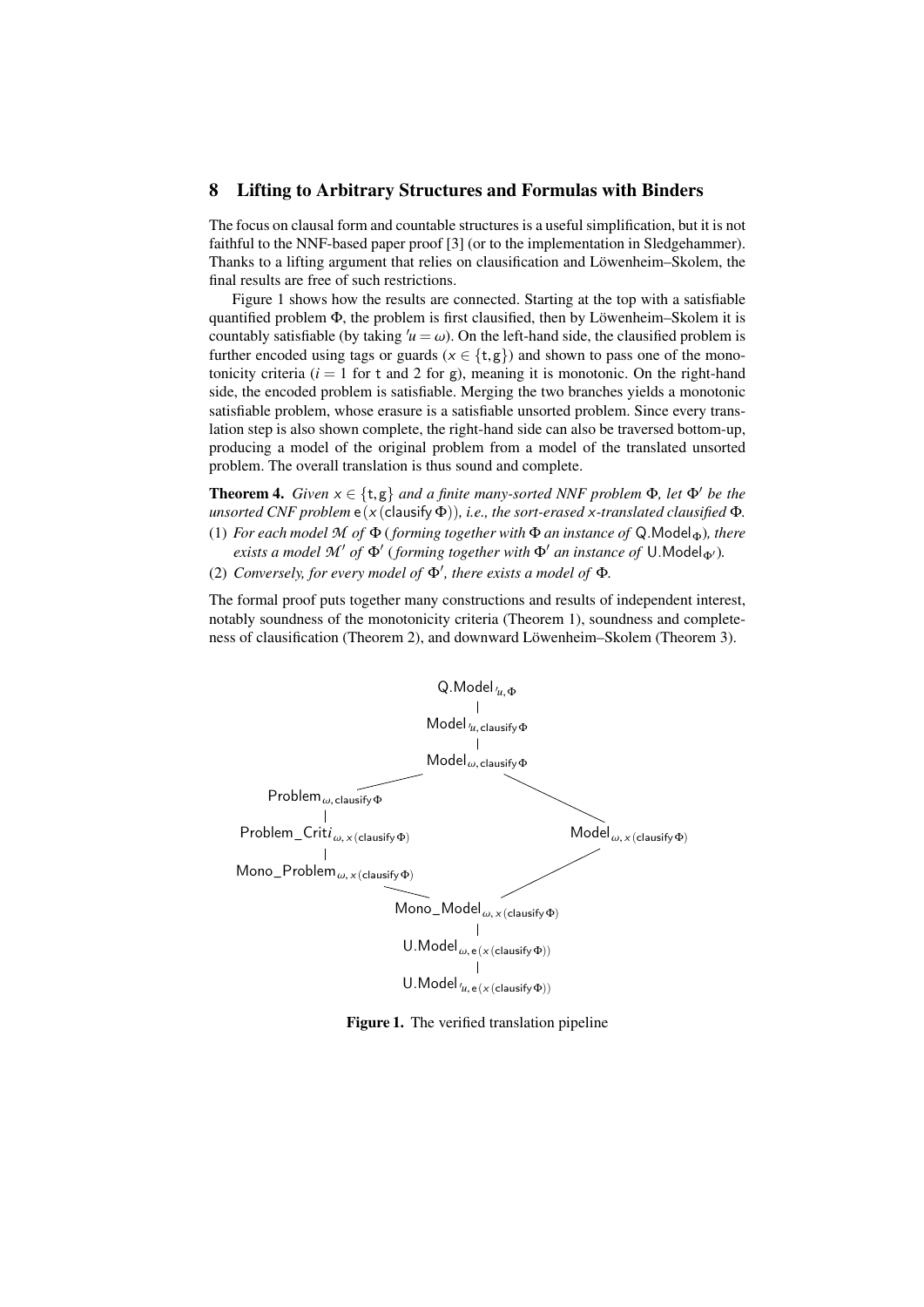#### <span id="page-13-0"></span>8 Lifting to Arbitrary Structures and Formulas with Binders

The focus on clausal form and countable structures is a useful simplification, but it is not faithful to the NNF-based paper proof [\[3\]](#page-14-0) (or to the implementation in Sledgehammer). Thanks to a lifting argument that relies on clausification and Löwenheim–Skolem, the final results are free of such restrictions.

Figure [1](#page-13-1) shows how the results are connected. Starting at the top with a satisfiable quantified problem  $\Phi$ , the problem is first clausified, then by Löwenheim–Skolem it is countably satisfiable (by taking  $\mu = \omega$ ). On the left-hand side, the clausified problem is further encoded using tags or guards ( $x \in \{t, g\}$ ) and shown to pass one of the monotonicity criteria  $(i = 1$  for t and 2 for g), meaning it is monotonic. On the right-hand side, the encoded problem is satisfiable. Merging the two branches yields a monotonic satisfiable problem, whose erasure is a satisfiable unsorted problem. Since every translation step is also shown complete, the right-hand side can also be traversed bottom-up, producing a model of the original problem from a model of the translated unsorted problem. The overall translation is thus sound and complete.

**Theorem 4.** *Given*  $x \in \{t, g\}$  *and a finite many-sorted NNF problem*  $\Phi$ *, let*  $\Phi'$  *be the unsorted CNF problem* e (x (clausify Φ))*, i.e., the sort-erased* x*-translated clausified* Φ*.* (1) *For each model M of*  $\Phi$  (*forming together with*  $\Phi$  *an instance of* Q.Model<sub>Φ</sub>), there

*exists a model*  $\mathcal{M}'$  *of*  $\Phi'$  (*forming together with*  $\Phi'$  *an instance of* U.Model<sub> $\Phi'$ </sub>).

(2) *Conversely, for every model of*  $\Phi'$ *, there exists a model of*  $\Phi$ *.* 

The formal proof puts together many constructions and results of independent interest, notably soundness of the monotonicity criteria (Theorem [1\)](#page-5-0), soundness and completeness of clausification (Theorem [2\)](#page-12-0), and downward Löwenheim–Skolem (Theorem [3\)](#page-12-1).



<span id="page-13-1"></span>Figure 1. The verified translation pipeline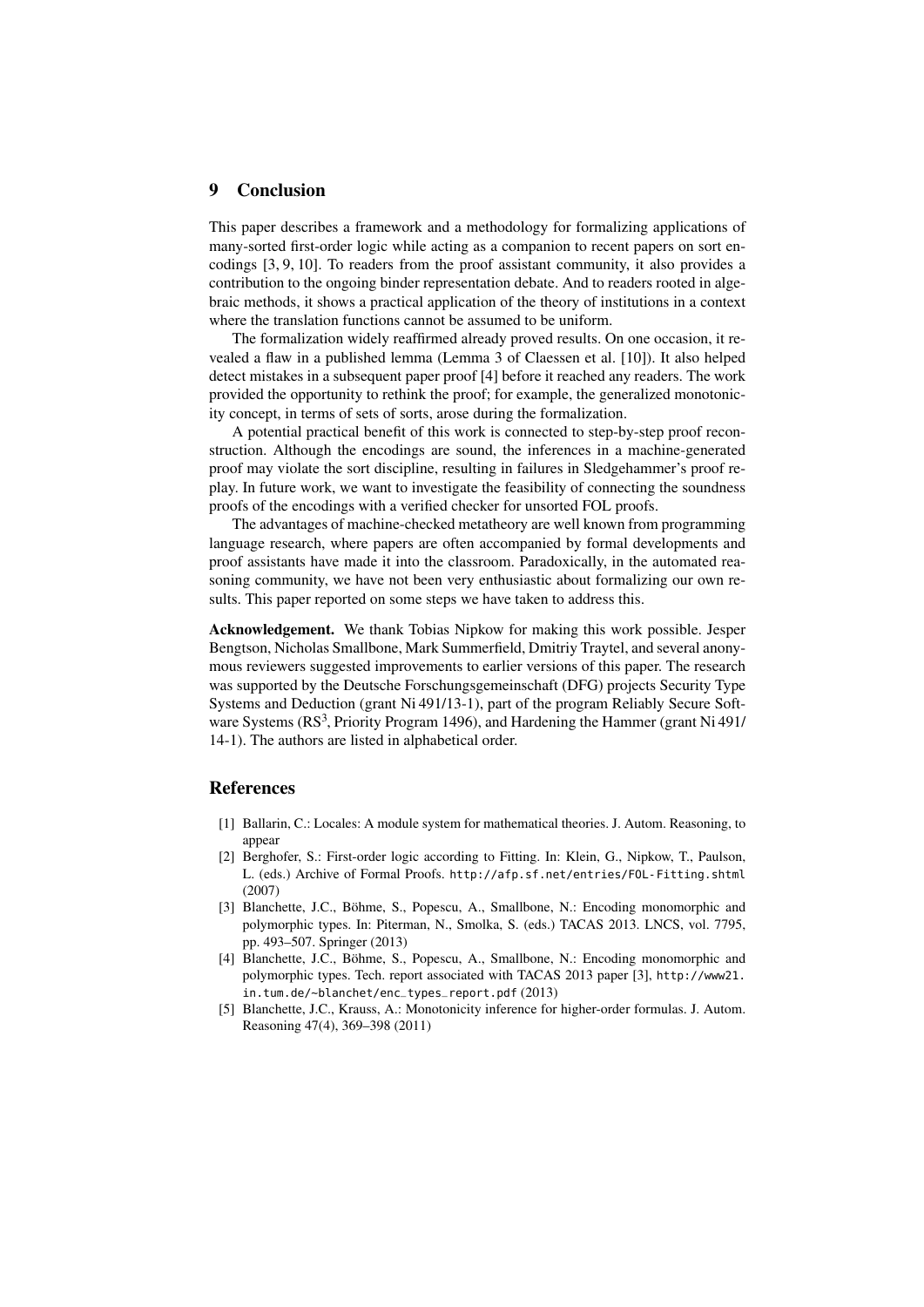#### 9 Conclusion

This paper describes a framework and a methodology for formalizing applications of many-sorted first-order logic while acting as a companion to recent papers on sort encodings [\[3,](#page-14-0) [9,](#page-15-8) [10\]](#page-15-4). To readers from the proof assistant community, it also provides a contribution to the ongoing binder representation debate. And to readers rooted in algebraic methods, it shows a practical application of the theory of institutions in a context where the translation functions cannot be assumed to be uniform.

The formalization widely reaffirmed already proved results. On one occasion, it revealed a flaw in a published lemma (Lemma 3 of Claessen et al. [\[10\]](#page-15-4)). It also helped detect mistakes in a subsequent paper proof [\[4\]](#page-14-1) before it reached any readers. The work provided the opportunity to rethink the proof; for example, the generalized monotonicity concept, in terms of sets of sorts, arose during the formalization.

A potential practical benefit of this work is connected to step-by-step proof reconstruction. Although the encodings are sound, the inferences in a machine-generated proof may violate the sort discipline, resulting in failures in Sledgehammer's proof replay. In future work, we want to investigate the feasibility of connecting the soundness proofs of the encodings with a verified checker for unsorted FOL proofs.

The advantages of machine-checked metatheory are well known from programming language research, where papers are often accompanied by formal developments and proof assistants have made it into the classroom. Paradoxically, in the automated reasoning community, we have not been very enthusiastic about formalizing our own results. This paper reported on some steps we have taken to address this.

Acknowledgement. We thank Tobias Nipkow for making this work possible. Jesper Bengtson, Nicholas Smallbone, Mark Summerfield, Dmitriy Traytel, and several anonymous reviewers suggested improvements to earlier versions of this paper. The research was supported by the Deutsche Forschungsgemeinschaft (DFG) projects Security Type Systems and Deduction (grant Ni 491/13-1), part of the program Reliably Secure Software Systems ( $\text{RS}^3$ , Priority Program 1496), and Hardening the Hammer (grant Ni 491/ 14-1). The authors are listed in alphabetical order.

#### References

- <span id="page-14-4"></span>[1] Ballarin, C.: Locales: A module system for mathematical theories. J. Autom. Reasoning, to appear
- <span id="page-14-3"></span>[2] Berghofer, S.: First-order logic according to Fitting. In: Klein, G., Nipkow, T., Paulson, L. (eds.) Archive of Formal Proofs. <http://afp.sf.net/entries/FOL-Fitting.shtml> (2007)
- <span id="page-14-0"></span>[3] Blanchette, J.C., Böhme, S., Popescu, A., Smallbone, N.: Encoding monomorphic and polymorphic types. In: Piterman, N., Smolka, S. (eds.) TACAS 2013. LNCS, vol. 7795, pp. 493–507. Springer (2013)
- <span id="page-14-1"></span>[4] Blanchette, J.C., Böhme, S., Popescu, A., Smallbone, N.: Encoding monomorphic and polymorphic types. Tech. report associated with TACAS 2013 paper [\[3\]](#page-14-0), [http://www21.](http://www21.in.tum.de/~blanchet/enc_types_report.pdf) [in.tum.de/~blanchet/enc\\_types\\_report.pdf](http://www21.in.tum.de/~blanchet/enc_types_report.pdf) (2013)
- <span id="page-14-2"></span>[5] Blanchette, J.C., Krauss, A.: Monotonicity inference for higher-order formulas. J. Autom. Reasoning 47(4), 369–398 (2011)